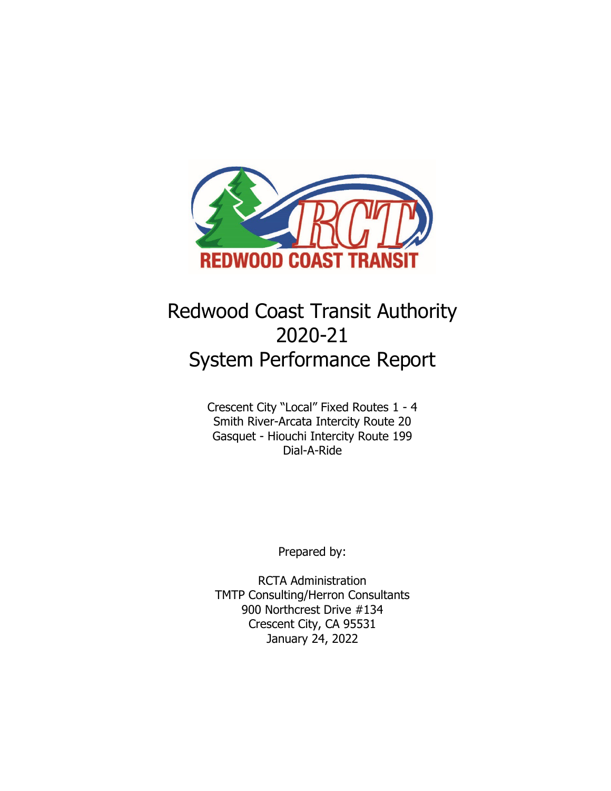

# Redwood Coast Transit Authority 2020-21 System Performance Report

Crescent City "Local" Fixed Routes 1 - 4 Smith River-Arcata Intercity Route 20 Gasquet - Hiouchi Intercity Route 199 Dial-A-Ride

Prepared by:

RCTA Administration TMTP Consulting/Herron Consultants 900 Northcrest Drive #134 Crescent City, CA 95531 January 24, 2022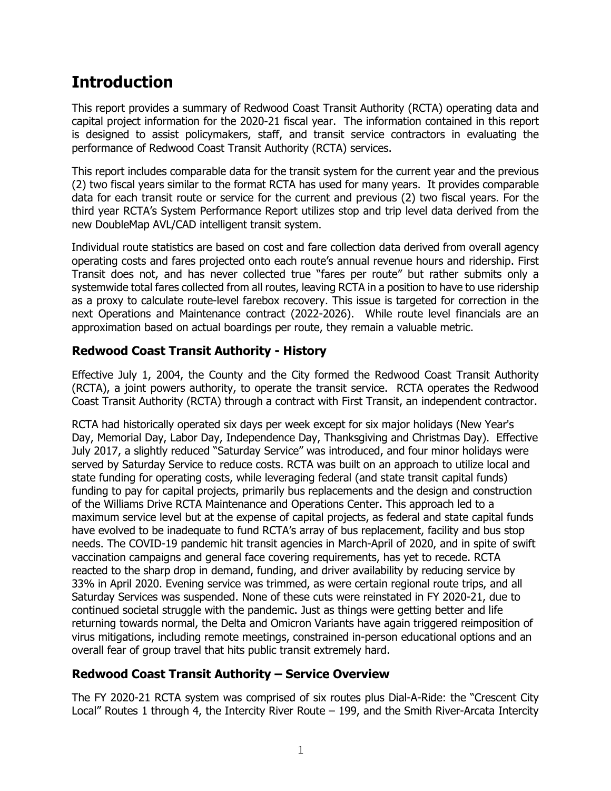## **Introduction**

This report provides a summary of Redwood Coast Transit Authority (RCTA) operating data and capital project information for the 2020-21 fiscal year. The information contained in this report is designed to assist policymakers, staff, and transit service contractors in evaluating the performance of Redwood Coast Transit Authority (RCTA) services.

This report includes comparable data for the transit system for the current year and the previous (2) two fiscal years similar to the format RCTA has used for many years. It provides comparable data for each transit route or service for the current and previous (2) two fiscal years. For the third year RCTA's System Performance Report utilizes stop and trip level data derived from the new DoubleMap AVL/CAD intelligent transit system.

Individual route statistics are based on cost and fare collection data derived from overall agency operating costs and fares projected onto each route's annual revenue hours and ridership. First Transit does not, and has never collected true "fares per route" but rather submits only a systemwide total fares collected from all routes, leaving RCTA in a position to have to use ridership as a proxy to calculate route-level farebox recovery. This issue is targeted for correction in the next Operations and Maintenance contract (2022-2026). While route level financials are an approximation based on actual boardings per route, they remain a valuable metric.

### **Redwood Coast Transit Authority - History**

Effective July 1, 2004, the County and the City formed the Redwood Coast Transit Authority (RCTA), a joint powers authority, to operate the transit service. RCTA operates the Redwood Coast Transit Authority (RCTA) through a contract with First Transit, an independent contractor.

RCTA had historically operated six days per week except for six major holidays (New Year's Day, Memorial Day, Labor Day, Independence Day, Thanksgiving and Christmas Day). Effective July 2017, a slightly reduced "Saturday Service" was introduced, and four minor holidays were served by Saturday Service to reduce costs. RCTA was built on an approach to utilize local and state funding for operating costs, while leveraging federal (and state transit capital funds) funding to pay for capital projects, primarily bus replacements and the design and construction of the Williams Drive RCTA Maintenance and Operations Center. This approach led to a maximum service level but at the expense of capital projects, as federal and state capital funds have evolved to be inadequate to fund RCTA's array of bus replacement, facility and bus stop needs. The COVID-19 pandemic hit transit agencies in March-April of 2020, and in spite of swift vaccination campaigns and general face covering requirements, has yet to recede. RCTA reacted to the sharp drop in demand, funding, and driver availability by reducing service by 33% in April 2020. Evening service was trimmed, as were certain regional route trips, and all Saturday Services was suspended. None of these cuts were reinstated in FY 2020-21, due to continued societal struggle with the pandemic. Just as things were getting better and life returning towards normal, the Delta and Omicron Variants have again triggered reimposition of virus mitigations, including remote meetings, constrained in-person educational options and an overall fear of group travel that hits public transit extremely hard.

### **Redwood Coast Transit Authority – Service Overview**

The FY 2020-21 RCTA system was comprised of six routes plus Dial-A-Ride: the "Crescent City Local" Routes 1 through 4, the Intercity River Route – 199, and the Smith River-Arcata Intercity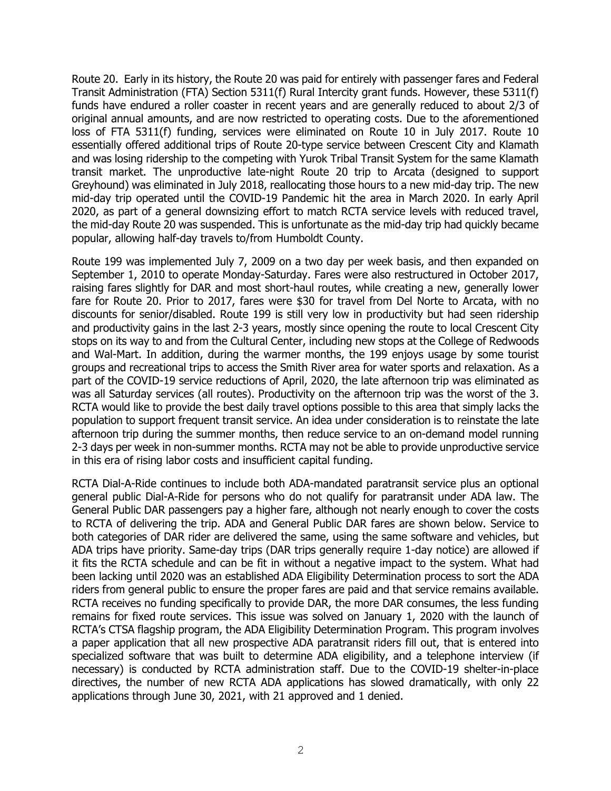Route 20. Early in its history, the Route 20 was paid for entirely with passenger fares and Federal Transit Administration (FTA) Section 5311(f) Rural Intercity grant funds. However, these 5311(f) funds have endured a roller coaster in recent years and are generally reduced to about 2/3 of original annual amounts, and are now restricted to operating costs. Due to the aforementioned loss of FTA 5311(f) funding, services were eliminated on Route 10 in July 2017. Route 10 essentially offered additional trips of Route 20-type service between Crescent City and Klamath and was losing ridership to the competing with Yurok Tribal Transit System for the same Klamath transit market. The unproductive late-night Route 20 trip to Arcata (designed to support Greyhound) was eliminated in July 2018, reallocating those hours to a new mid-day trip. The new mid-day trip operated until the COVID-19 Pandemic hit the area in March 2020. In early April 2020, as part of a general downsizing effort to match RCTA service levels with reduced travel, the mid-day Route 20 was suspended. This is unfortunate as the mid-day trip had quickly became popular, allowing half-day travels to/from Humboldt County.

Route 199 was implemented July 7, 2009 on a two day per week basis, and then expanded on September 1, 2010 to operate Monday-Saturday. Fares were also restructured in October 2017, raising fares slightly for DAR and most short-haul routes, while creating a new, generally lower fare for Route 20. Prior to 2017, fares were \$30 for travel from Del Norte to Arcata, with no discounts for senior/disabled. Route 199 is still very low in productivity but had seen ridership and productivity gains in the last 2-3 years, mostly since opening the route to local Crescent City stops on its way to and from the Cultural Center, including new stops at the College of Redwoods and Wal-Mart. In addition, during the warmer months, the 199 enjoys usage by some tourist groups and recreational trips to access the Smith River area for water sports and relaxation. As a part of the COVID-19 service reductions of April, 2020, the late afternoon trip was eliminated as was all Saturday services (all routes). Productivity on the afternoon trip was the worst of the 3. RCTA would like to provide the best daily travel options possible to this area that simply lacks the population to support frequent transit service. An idea under consideration is to reinstate the late afternoon trip during the summer months, then reduce service to an on-demand model running 2-3 days per week in non-summer months. RCTA may not be able to provide unproductive service in this era of rising labor costs and insufficient capital funding.

RCTA Dial-A-Ride continues to include both ADA-mandated paratransit service plus an optional general public Dial-A-Ride for persons who do not qualify for paratransit under ADA law. The General Public DAR passengers pay a higher fare, although not nearly enough to cover the costs to RCTA of delivering the trip. ADA and General Public DAR fares are shown below. Service to both categories of DAR rider are delivered the same, using the same software and vehicles, but ADA trips have priority. Same-day trips (DAR trips generally require 1-day notice) are allowed if it fits the RCTA schedule and can be fit in without a negative impact to the system. What had been lacking until 2020 was an established ADA Eligibility Determination process to sort the ADA riders from general public to ensure the proper fares are paid and that service remains available. RCTA receives no funding specifically to provide DAR, the more DAR consumes, the less funding remains for fixed route services. This issue was solved on January 1, 2020 with the launch of RCTA's CTSA flagship program, the ADA Eligibility Determination Program. This program involves a paper application that all new prospective ADA paratransit riders fill out, that is entered into specialized software that was built to determine ADA eligibility, and a telephone interview (if necessary) is conducted by RCTA administration staff. Due to the COVID-19 shelter-in-place directives, the number of new RCTA ADA applications has slowed dramatically, with only 22 applications through June 30, 2021, with 21 approved and 1 denied.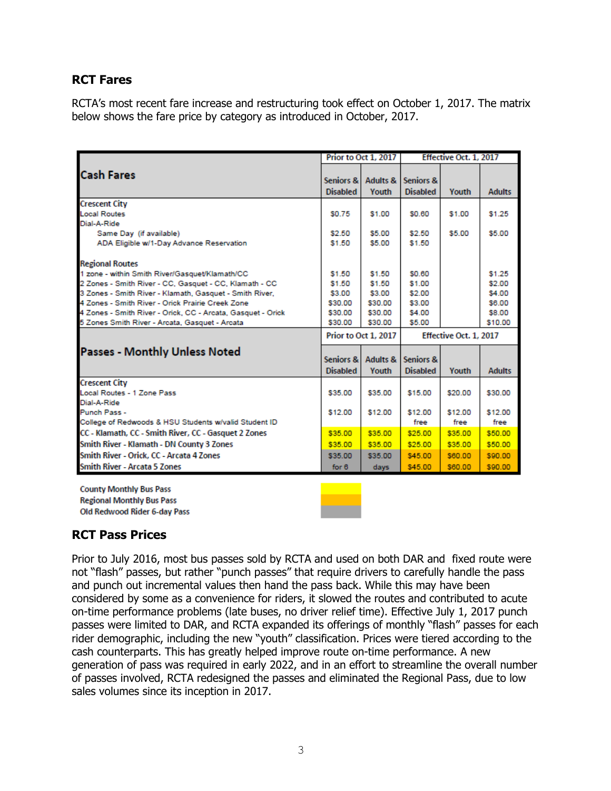### **RCT Fares**

RCTA's most recent fare increase and restructuring took effect on October 1, 2017. The matrix below shows the fare price by category as introduced in October, 2017.

|                                                             |                              | Prior to Oct 1, 2017 |                              | Effective Oct. 1. 2017 |               |
|-------------------------------------------------------------|------------------------------|----------------------|------------------------------|------------------------|---------------|
| <b>Cash Fares</b>                                           | Seniors &<br><b>Disabled</b> | Adults &<br>Youth    | Seniors &<br><b>Disabled</b> | Youth                  | <b>Adults</b> |
| <b>Crescent City</b>                                        |                              |                      |                              |                        |               |
| <b>Local Routes</b>                                         | \$0.75                       | \$1.00               | \$0.60                       | \$1.00                 | \$1.25        |
| Dial-A-Ride                                                 |                              |                      |                              |                        |               |
| Same Day (if available)                                     | \$2.50                       | \$5.00               | \$2.50                       | \$5.00                 | \$5.00        |
| ADA Eligible w/1-Day Advance Reservation                    | \$1.50                       | \$5.00               | \$1.50                       |                        |               |
| <b>Regional Routes</b>                                      |                              |                      |                              |                        |               |
| 1 zone - within Smith River/Gasquet/Klamath/CC              | \$1.50                       | \$1.50               | \$0.60                       |                        | \$1.25        |
| 2 Zones - Smith River - CC, Gasquet - CC, Klamath - CC      | \$1.50                       | \$1.50               | \$1.00                       |                        | \$2.00        |
| 3 Zones - Smith River - Klamath, Gasquet - Smith River,     | \$3.00                       | \$3.00               | \$2.00                       |                        | \$4.00        |
| 4 Zones - Smith River - Orick Prairie Creek Zone            | \$30.00                      | \$30.00              | \$3.00                       |                        | \$6.00        |
| 4 Zones - Smith River - Orick, CC - Arcata, Gasquet - Orick | \$30.00                      | \$30.00              | \$4.00                       |                        | \$8.00        |
| 5 Zones Smith River - Arcata, Gasquet - Arcata              | \$30.00                      | \$30.00              | \$5.00                       |                        | \$10.00       |
|                                                             |                              | Prior to Oct 1, 2017 | Effective Oct. 1, 2017       |                        |               |
| <b>Passes - Monthly Unless Noted</b>                        | Seniors &<br><b>Disabled</b> | Adults &<br>Youth    | Seniors &<br><b>Disabled</b> | Youth                  | <b>Adults</b> |
| <b>Crescent City</b>                                        |                              |                      |                              |                        |               |
| Local Routes - 1 Zone Pass                                  | \$35.00                      | \$35.00              | \$15.00                      | \$20.00                | \$30.00       |
| Dial-A-Ride                                                 |                              |                      |                              |                        |               |
| Punch Pass -                                                | \$12.00                      | \$12.00              | \$12.00                      | \$12.00                | \$12.00       |
| College of Redwoods & HSU Students w/valid Student ID       |                              |                      | free                         | free                   | free          |
| CC - Klamath, CC - Smith River, CC - Gasquet 2 Zones        | \$35.00                      | \$35.00              | \$25.00                      | \$35.00                | \$50.00       |
| Smith River - Klamath - DN County 3 Zones                   | \$35.00                      | \$35.00              | \$25.00                      | \$35.00                | \$50.00       |
| Smith River - Orick, CC - Arcata 4 Zones                    | \$35.00                      | \$35.00              | \$45.00                      | \$60.00                | \$90.00       |
| <b>Smith River - Arcata 5 Zones</b>                         | for $6$                      | days                 | \$45.00                      | \$60.00                | \$90.00       |
|                                                             |                              |                      |                              |                        |               |

**County Monthly Bus Pass Regional Monthly Bus Pass** Old Redwood Rider 6-day Pass



### **RCT Pass Prices**

Prior to July 2016, most bus passes sold by RCTA and used on both DAR and fixed route were not "flash" passes, but rather "punch passes" that require drivers to carefully handle the pass and punch out incremental values then hand the pass back. While this may have been considered by some as a convenience for riders, it slowed the routes and contributed to acute on-time performance problems (late buses, no driver relief time). Effective July 1, 2017 punch passes were limited to DAR, and RCTA expanded its offerings of monthly "flash" passes for each rider demographic, including the new "youth" classification. Prices were tiered according to the cash counterparts. This has greatly helped improve route on-time performance. A new generation of pass was required in early 2022, and in an effort to streamline the overall number of passes involved, RCTA redesigned the passes and eliminated the Regional Pass, due to low sales volumes since its inception in 2017.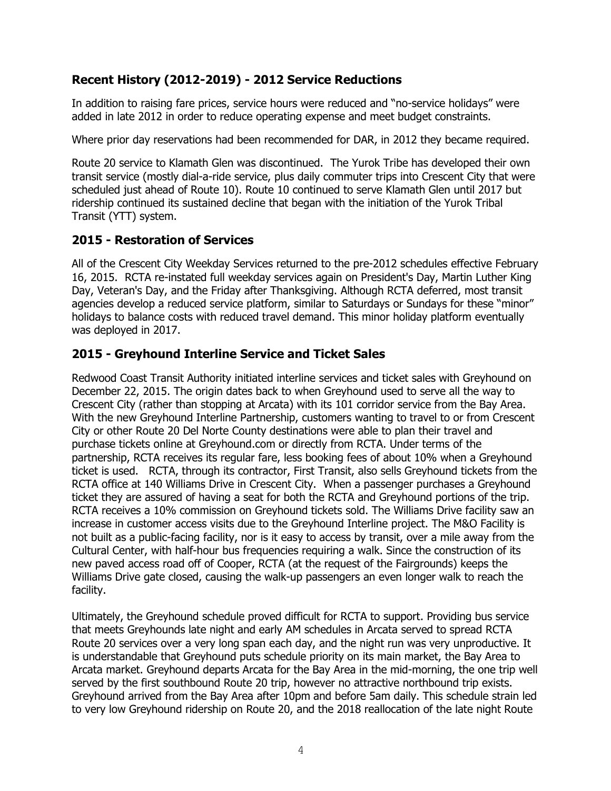### **Recent History (2012-2019) - 2012 Service Reductions**

In addition to raising fare prices, service hours were reduced and "no-service holidays" were added in late 2012 in order to reduce operating expense and meet budget constraints.

Where prior day reservations had been recommended for DAR, in 2012 they became required.

Route 20 service to Klamath Glen was discontinued. The Yurok Tribe has developed their own transit service (mostly dial-a-ride service, plus daily commuter trips into Crescent City that were scheduled just ahead of Route 10). Route 10 continued to serve Klamath Glen until 2017 but ridership continued its sustained decline that began with the initiation of the Yurok Tribal Transit (YTT) system.

### **2015 - Restoration of Services**

All of the Crescent City Weekday Services returned to the pre-2012 schedules effective February 16, 2015. RCTA re-instated full weekday services again on President's Day, Martin Luther King Day, Veteran's Day, and the Friday after Thanksgiving. Although RCTA deferred, most transit agencies develop a reduced service platform, similar to Saturdays or Sundays for these "minor" holidays to balance costs with reduced travel demand. This minor holiday platform eventually was deployed in 2017.

### **2015 - Greyhound Interline Service and Ticket Sales**

Redwood Coast Transit Authority initiated interline services and ticket sales with Greyhound on December 22, 2015. The origin dates back to when Greyhound used to serve all the way to Crescent City (rather than stopping at Arcata) with its 101 corridor service from the Bay Area. With the new Greyhound Interline Partnership, customers wanting to travel to or from Crescent City or other Route 20 Del Norte County destinations were able to plan their travel and purchase tickets online at Greyhound.com or directly from RCTA. Under terms of the partnership, RCTA receives its regular fare, less booking fees of about 10% when a Greyhound ticket is used. RCTA, through its contractor, First Transit, also sells Greyhound tickets from the RCTA office at 140 Williams Drive in Crescent City. When a passenger purchases a Greyhound ticket they are assured of having a seat for both the RCTA and Greyhound portions of the trip. RCTA receives a 10% commission on Greyhound tickets sold. The Williams Drive facility saw an increase in customer access visits due to the Greyhound Interline project. The M&O Facility is not built as a public-facing facility, nor is it easy to access by transit, over a mile away from the Cultural Center, with half-hour bus frequencies requiring a walk. Since the construction of its new paved access road off of Cooper, RCTA (at the request of the Fairgrounds) keeps the Williams Drive gate closed, causing the walk-up passengers an even longer walk to reach the facility.

Ultimately, the Greyhound schedule proved difficult for RCTA to support. Providing bus service that meets Greyhounds late night and early AM schedules in Arcata served to spread RCTA Route 20 services over a very long span each day, and the night run was very unproductive. It is understandable that Greyhound puts schedule priority on its main market, the Bay Area to Arcata market. Greyhound departs Arcata for the Bay Area in the mid-morning, the one trip well served by the first southbound Route 20 trip, however no attractive northbound trip exists. Greyhound arrived from the Bay Area after 10pm and before 5am daily. This schedule strain led to very low Greyhound ridership on Route 20, and the 2018 reallocation of the late night Route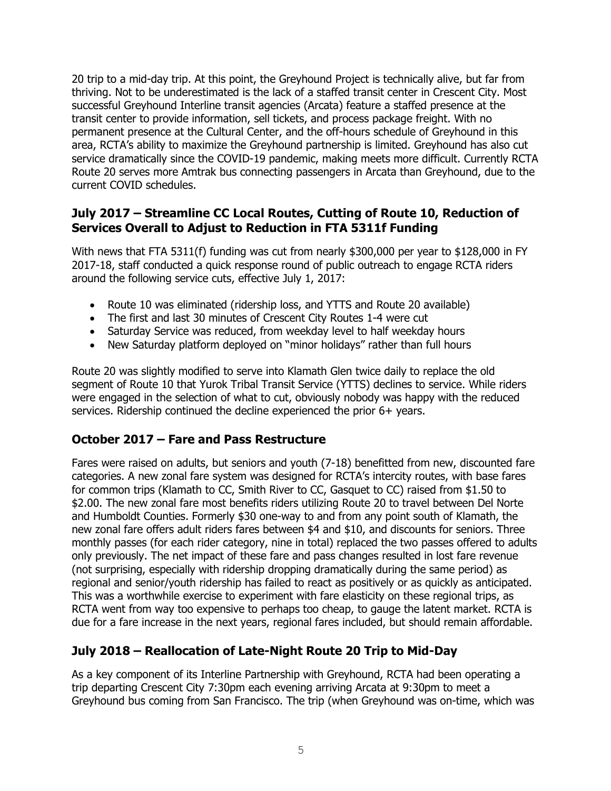20 trip to a mid-day trip. At this point, the Greyhound Project is technically alive, but far from thriving. Not to be underestimated is the lack of a staffed transit center in Crescent City. Most successful Greyhound Interline transit agencies (Arcata) feature a staffed presence at the transit center to provide information, sell tickets, and process package freight. With no permanent presence at the Cultural Center, and the off-hours schedule of Greyhound in this area, RCTA's ability to maximize the Greyhound partnership is limited. Greyhound has also cut service dramatically since the COVID-19 pandemic, making meets more difficult. Currently RCTA Route 20 serves more Amtrak bus connecting passengers in Arcata than Greyhound, due to the current COVID schedules.

### **July 2017 – Streamline CC Local Routes, Cutting of Route 10, Reduction of Services Overall to Adjust to Reduction in FTA 5311f Funding**

With news that FTA 5311(f) funding was cut from nearly \$300,000 per year to \$128,000 in FY 2017-18, staff conducted a quick response round of public outreach to engage RCTA riders around the following service cuts, effective July 1, 2017:

- Route 10 was eliminated (ridership loss, and YTTS and Route 20 available)
- The first and last 30 minutes of Crescent City Routes 1-4 were cut
- Saturday Service was reduced, from weekday level to half weekday hours
- New Saturday platform deployed on "minor holidays" rather than full hours

Route 20 was slightly modified to serve into Klamath Glen twice daily to replace the old segment of Route 10 that Yurok Tribal Transit Service (YTTS) declines to service. While riders were engaged in the selection of what to cut, obviously nobody was happy with the reduced services. Ridership continued the decline experienced the prior 6+ years.

### **October 2017 – Fare and Pass Restructure**

Fares were raised on adults, but seniors and youth (7-18) benefitted from new, discounted fare categories. A new zonal fare system was designed for RCTA's intercity routes, with base fares for common trips (Klamath to CC, Smith River to CC, Gasquet to CC) raised from \$1.50 to \$2.00. The new zonal fare most benefits riders utilizing Route 20 to travel between Del Norte and Humboldt Counties. Formerly \$30 one-way to and from any point south of Klamath, the new zonal fare offers adult riders fares between \$4 and \$10, and discounts for seniors. Three monthly passes (for each rider category, nine in total) replaced the two passes offered to adults only previously. The net impact of these fare and pass changes resulted in lost fare revenue (not surprising, especially with ridership dropping dramatically during the same period) as regional and senior/youth ridership has failed to react as positively or as quickly as anticipated. This was a worthwhile exercise to experiment with fare elasticity on these regional trips, as RCTA went from way too expensive to perhaps too cheap, to gauge the latent market. RCTA is due for a fare increase in the next years, regional fares included, but should remain affordable.

### **July 2018 – Reallocation of Late-Night Route 20 Trip to Mid-Day**

As a key component of its Interline Partnership with Greyhound, RCTA had been operating a trip departing Crescent City 7:30pm each evening arriving Arcata at 9:30pm to meet a Greyhound bus coming from San Francisco. The trip (when Greyhound was on-time, which was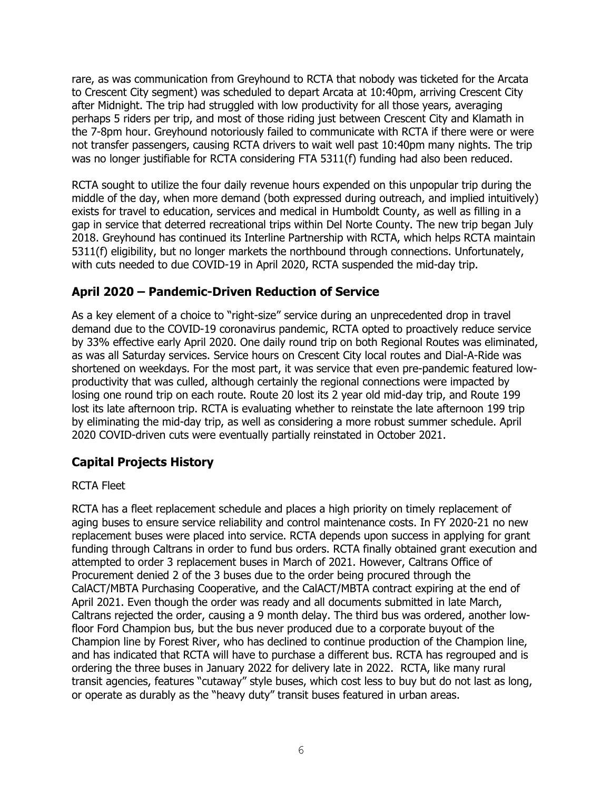rare, as was communication from Greyhound to RCTA that nobody was ticketed for the Arcata to Crescent City segment) was scheduled to depart Arcata at 10:40pm, arriving Crescent City after Midnight. The trip had struggled with low productivity for all those years, averaging perhaps 5 riders per trip, and most of those riding just between Crescent City and Klamath in the 7-8pm hour. Greyhound notoriously failed to communicate with RCTA if there were or were not transfer passengers, causing RCTA drivers to wait well past 10:40pm many nights. The trip was no longer justifiable for RCTA considering FTA 5311(f) funding had also been reduced.

RCTA sought to utilize the four daily revenue hours expended on this unpopular trip during the middle of the day, when more demand (both expressed during outreach, and implied intuitively) exists for travel to education, services and medical in Humboldt County, as well as filling in a gap in service that deterred recreational trips within Del Norte County. The new trip began July 2018. Greyhound has continued its Interline Partnership with RCTA, which helps RCTA maintain 5311(f) eligibility, but no longer markets the northbound through connections. Unfortunately, with cuts needed to due COVID-19 in April 2020, RCTA suspended the mid-day trip.

### **April 2020 – Pandemic-Driven Reduction of Service**

As a key element of a choice to "right-size" service during an unprecedented drop in travel demand due to the COVID-19 coronavirus pandemic, RCTA opted to proactively reduce service by 33% effective early April 2020. One daily round trip on both Regional Routes was eliminated, as was all Saturday services. Service hours on Crescent City local routes and Dial-A-Ride was shortened on weekdays. For the most part, it was service that even pre-pandemic featured lowproductivity that was culled, although certainly the regional connections were impacted by losing one round trip on each route. Route 20 lost its 2 year old mid-day trip, and Route 199 lost its late afternoon trip. RCTA is evaluating whether to reinstate the late afternoon 199 trip by eliminating the mid-day trip, as well as considering a more robust summer schedule. April 2020 COVID-driven cuts were eventually partially reinstated in October 2021.

### **Capital Projects History**

### RCTA Fleet

RCTA has a fleet replacement schedule and places a high priority on timely replacement of aging buses to ensure service reliability and control maintenance costs. In FY 2020-21 no new replacement buses were placed into service. RCTA depends upon success in applying for grant funding through Caltrans in order to fund bus orders. RCTA finally obtained grant execution and attempted to order 3 replacement buses in March of 2021. However, Caltrans Office of Procurement denied 2 of the 3 buses due to the order being procured through the CalACT/MBTA Purchasing Cooperative, and the CalACT/MBTA contract expiring at the end of April 2021. Even though the order was ready and all documents submitted in late March, Caltrans rejected the order, causing a 9 month delay. The third bus was ordered, another lowfloor Ford Champion bus, but the bus never produced due to a corporate buyout of the Champion line by Forest River, who has declined to continue production of the Champion line, and has indicated that RCTA will have to purchase a different bus. RCTA has regrouped and is ordering the three buses in January 2022 for delivery late in 2022. RCTA, like many rural transit agencies, features "cutaway" style buses, which cost less to buy but do not last as long, or operate as durably as the "heavy duty" transit buses featured in urban areas.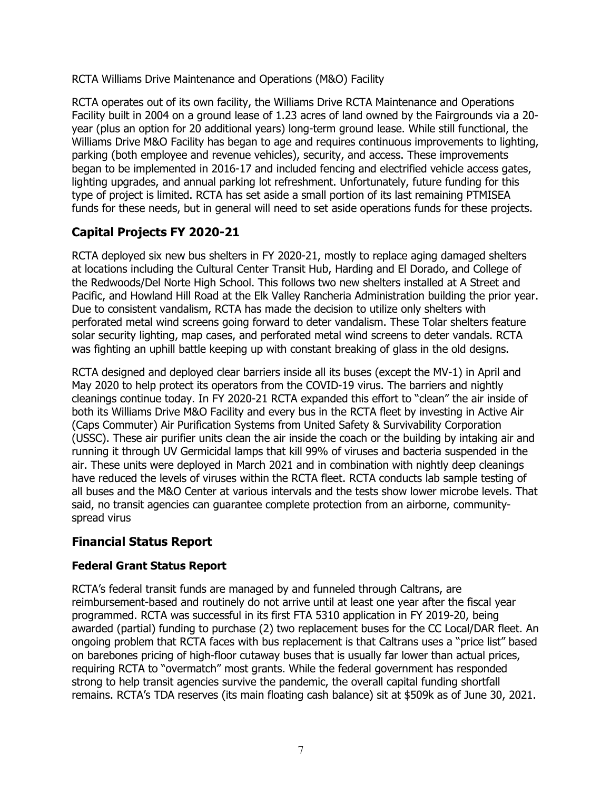RCTA Williams Drive Maintenance and Operations (M&O) Facility

RCTA operates out of its own facility, the Williams Drive RCTA Maintenance and Operations Facility built in 2004 on a ground lease of 1.23 acres of land owned by the Fairgrounds via a 20 year (plus an option for 20 additional years) long-term ground lease. While still functional, the Williams Drive M&O Facility has began to age and requires continuous improvements to lighting, parking (both employee and revenue vehicles), security, and access. These improvements began to be implemented in 2016-17 and included fencing and electrified vehicle access gates, lighting upgrades, and annual parking lot refreshment. Unfortunately, future funding for this type of project is limited. RCTA has set aside a small portion of its last remaining PTMISEA funds for these needs, but in general will need to set aside operations funds for these projects.

### **Capital Projects FY 2020-21**

RCTA deployed six new bus shelters in FY 2020-21, mostly to replace aging damaged shelters at locations including the Cultural Center Transit Hub, Harding and El Dorado, and College of the Redwoods/Del Norte High School. This follows two new shelters installed at A Street and Pacific, and Howland Hill Road at the Elk Valley Rancheria Administration building the prior year. Due to consistent vandalism, RCTA has made the decision to utilize only shelters with perforated metal wind screens going forward to deter vandalism. These Tolar shelters feature solar security lighting, map cases, and perforated metal wind screens to deter vandals. RCTA was fighting an uphill battle keeping up with constant breaking of glass in the old designs.

RCTA designed and deployed clear barriers inside all its buses (except the MV-1) in April and May 2020 to help protect its operators from the COVID-19 virus. The barriers and nightly cleanings continue today. In FY 2020-21 RCTA expanded this effort to "clean" the air inside of both its Williams Drive M&O Facility and every bus in the RCTA fleet by investing in Active Air (Caps Commuter) Air Purification Systems from United Safety & Survivability Corporation (USSC). These air purifier units clean the air inside the coach or the building by intaking air and running it through UV Germicidal lamps that kill 99% of viruses and bacteria suspended in the air. These units were deployed in March 2021 and in combination with nightly deep cleanings have reduced the levels of viruses within the RCTA fleet. RCTA conducts lab sample testing of all buses and the M&O Center at various intervals and the tests show lower microbe levels. That said, no transit agencies can guarantee complete protection from an airborne, communityspread virus

### **Financial Status Report**

### **Federal Grant Status Report**

RCTA's federal transit funds are managed by and funneled through Caltrans, are reimbursement-based and routinely do not arrive until at least one year after the fiscal year programmed. RCTA was successful in its first FTA 5310 application in FY 2019-20, being awarded (partial) funding to purchase (2) two replacement buses for the CC Local/DAR fleet. An ongoing problem that RCTA faces with bus replacement is that Caltrans uses a "price list" based on barebones pricing of high-floor cutaway buses that is usually far lower than actual prices, requiring RCTA to "overmatch" most grants. While the federal government has responded strong to help transit agencies survive the pandemic, the overall capital funding shortfall remains. RCTA's TDA reserves (its main floating cash balance) sit at \$509k as of June 30, 2021.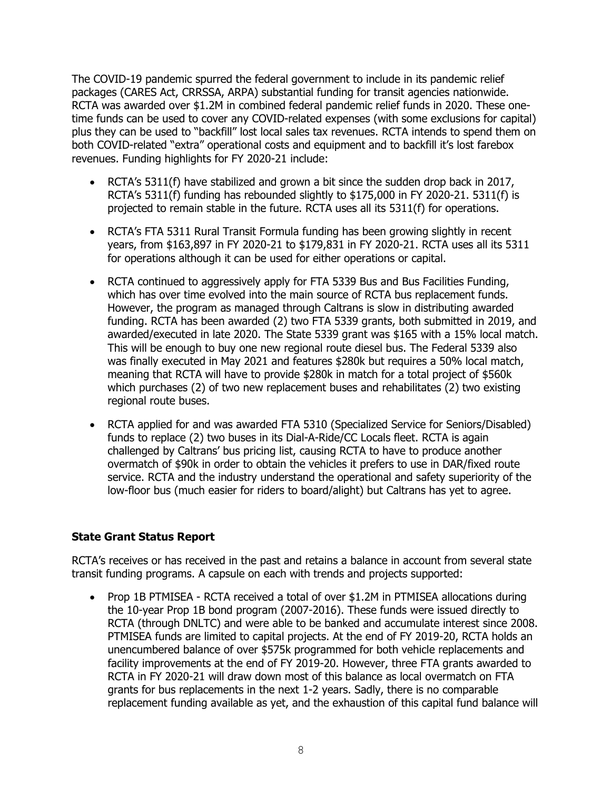The COVID-19 pandemic spurred the federal government to include in its pandemic relief packages (CARES Act, CRRSSA, ARPA) substantial funding for transit agencies nationwide. RCTA was awarded over \$1.2M in combined federal pandemic relief funds in 2020. These onetime funds can be used to cover any COVID-related expenses (with some exclusions for capital) plus they can be used to "backfill" lost local sales tax revenues. RCTA intends to spend them on both COVID-related "extra" operational costs and equipment and to backfill it's lost farebox revenues. Funding highlights for FY 2020-21 include:

- RCTA's 5311(f) have stabilized and grown a bit since the sudden drop back in 2017, RCTA's 5311(f) funding has rebounded slightly to \$175,000 in FY 2020-21. 5311(f) is projected to remain stable in the future. RCTA uses all its 5311(f) for operations.
- RCTA's FTA 5311 Rural Transit Formula funding has been growing slightly in recent years, from \$163,897 in FY 2020-21 to \$179,831 in FY 2020-21. RCTA uses all its 5311 for operations although it can be used for either operations or capital.
- RCTA continued to aggressively apply for FTA 5339 Bus and Bus Facilities Funding, which has over time evolved into the main source of RCTA bus replacement funds. However, the program as managed through Caltrans is slow in distributing awarded funding. RCTA has been awarded (2) two FTA 5339 grants, both submitted in 2019, and awarded/executed in late 2020. The State 5339 grant was \$165 with a 15% local match. This will be enough to buy one new regional route diesel bus. The Federal 5339 also was finally executed in May 2021 and features \$280k but requires a 50% local match, meaning that RCTA will have to provide \$280k in match for a total project of \$560k which purchases (2) of two new replacement buses and rehabilitates (2) two existing regional route buses.
- RCTA applied for and was awarded FTA 5310 (Specialized Service for Seniors/Disabled) funds to replace (2) two buses in its Dial-A-Ride/CC Locals fleet. RCTA is again challenged by Caltrans' bus pricing list, causing RCTA to have to produce another overmatch of \$90k in order to obtain the vehicles it prefers to use in DAR/fixed route service. RCTA and the industry understand the operational and safety superiority of the low-floor bus (much easier for riders to board/alight) but Caltrans has yet to agree.

### **State Grant Status Report**

RCTA's receives or has received in the past and retains a balance in account from several state transit funding programs. A capsule on each with trends and projects supported:

• Prop 1B PTMISEA - RCTA received a total of over \$1.2M in PTMISEA allocations during the 10-year Prop 1B bond program (2007-2016). These funds were issued directly to RCTA (through DNLTC) and were able to be banked and accumulate interest since 2008. PTMISEA funds are limited to capital projects. At the end of FY 2019-20, RCTA holds an unencumbered balance of over \$575k programmed for both vehicle replacements and facility improvements at the end of FY 2019-20. However, three FTA grants awarded to RCTA in FY 2020-21 will draw down most of this balance as local overmatch on FTA grants for bus replacements in the next 1-2 years. Sadly, there is no comparable replacement funding available as yet, and the exhaustion of this capital fund balance will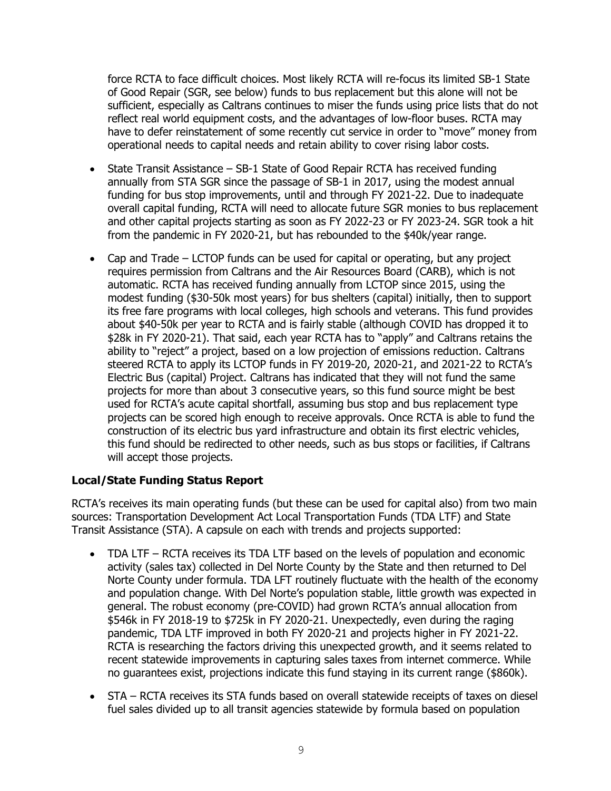force RCTA to face difficult choices. Most likely RCTA will re-focus its limited SB-1 State of Good Repair (SGR, see below) funds to bus replacement but this alone will not be sufficient, especially as Caltrans continues to miser the funds using price lists that do not reflect real world equipment costs, and the advantages of low-floor buses. RCTA may have to defer reinstatement of some recently cut service in order to "move" money from operational needs to capital needs and retain ability to cover rising labor costs.

- State Transit Assistance SB-1 State of Good Repair RCTA has received funding annually from STA SGR since the passage of SB-1 in 2017, using the modest annual funding for bus stop improvements, until and through FY 2021-22. Due to inadequate overall capital funding, RCTA will need to allocate future SGR monies to bus replacement and other capital projects starting as soon as FY 2022-23 or FY 2023-24. SGR took a hit from the pandemic in FY 2020-21, but has rebounded to the \$40k/year range.
- Cap and Trade LCTOP funds can be used for capital or operating, but any project requires permission from Caltrans and the Air Resources Board (CARB), which is not automatic. RCTA has received funding annually from LCTOP since 2015, using the modest funding (\$30-50k most years) for bus shelters (capital) initially, then to support its free fare programs with local colleges, high schools and veterans. This fund provides about \$40-50k per year to RCTA and is fairly stable (although COVID has dropped it to \$28k in FY 2020-21). That said, each year RCTA has to "apply" and Caltrans retains the ability to "reject" a project, based on a low projection of emissions reduction. Caltrans steered RCTA to apply its LCTOP funds in FY 2019-20, 2020-21, and 2021-22 to RCTA's Electric Bus (capital) Project. Caltrans has indicated that they will not fund the same projects for more than about 3 consecutive years, so this fund source might be best used for RCTA's acute capital shortfall, assuming bus stop and bus replacement type projects can be scored high enough to receive approvals. Once RCTA is able to fund the construction of its electric bus yard infrastructure and obtain its first electric vehicles, this fund should be redirected to other needs, such as bus stops or facilities, if Caltrans will accept those projects.

### **Local/State Funding Status Report**

RCTA's receives its main operating funds (but these can be used for capital also) from two main sources: Transportation Development Act Local Transportation Funds (TDA LTF) and State Transit Assistance (STA). A capsule on each with trends and projects supported:

- TDA LTF RCTA receives its TDA LTF based on the levels of population and economic activity (sales tax) collected in Del Norte County by the State and then returned to Del Norte County under formula. TDA LFT routinely fluctuate with the health of the economy and population change. With Del Norte's population stable, little growth was expected in general. The robust economy (pre-COVID) had grown RCTA's annual allocation from \$546k in FY 2018-19 to \$725k in FY 2020-21. Unexpectedly, even during the raging pandemic, TDA LTF improved in both FY 2020-21 and projects higher in FY 2021-22. RCTA is researching the factors driving this unexpected growth, and it seems related to recent statewide improvements in capturing sales taxes from internet commerce. While no guarantees exist, projections indicate this fund staying in its current range (\$860k).
- STA RCTA receives its STA funds based on overall statewide receipts of taxes on diesel fuel sales divided up to all transit agencies statewide by formula based on population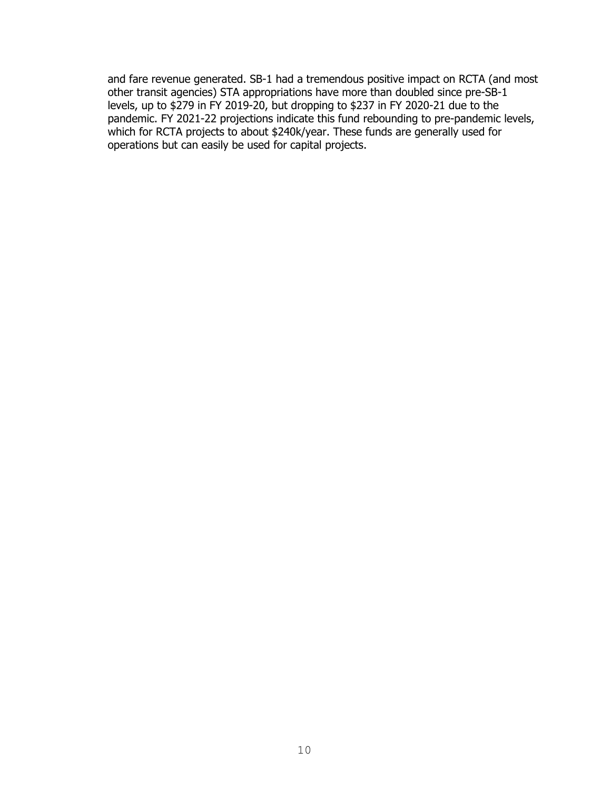and fare revenue generated. SB-1 had a tremendous positive impact on RCTA (and most other transit agencies) STA appropriations have more than doubled since pre-SB-1 levels, up to \$279 in FY 2019-20, but dropping to \$237 in FY 2020-21 due to the pandemic. FY 2021-22 projections indicate this fund rebounding to pre-pandemic levels, which for RCTA projects to about \$240k/year. These funds are generally used for operations but can easily be used for capital projects.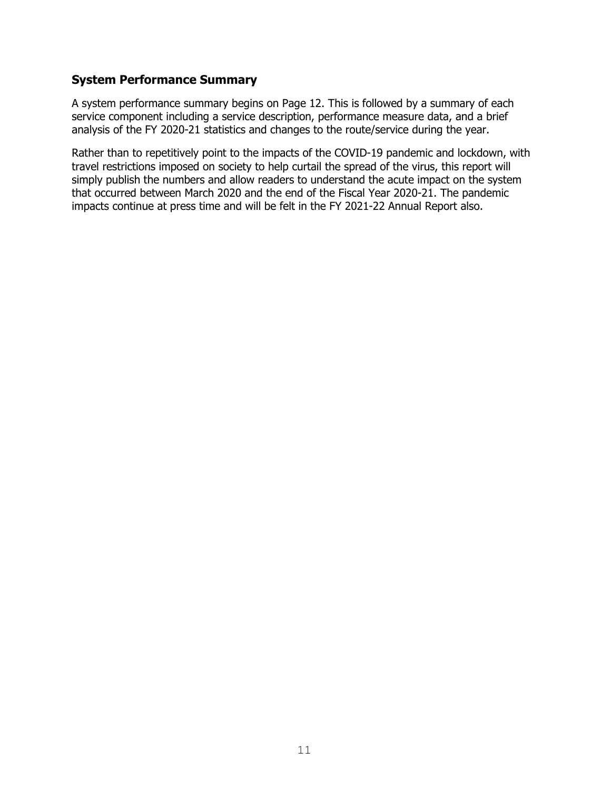### **System Performance Summary**

A system performance summary begins on Page 12. This is followed by a summary of each service component including a service description, performance measure data, and a brief analysis of the FY 2020-21 statistics and changes to the route/service during the year.

Rather than to repetitively point to the impacts of the COVID-19 pandemic and lockdown, with travel restrictions imposed on society to help curtail the spread of the virus, this report will simply publish the numbers and allow readers to understand the acute impact on the system that occurred between March 2020 and the end of the Fiscal Year 2020-21. The pandemic impacts continue at press time and will be felt in the FY 2021-22 Annual Report also.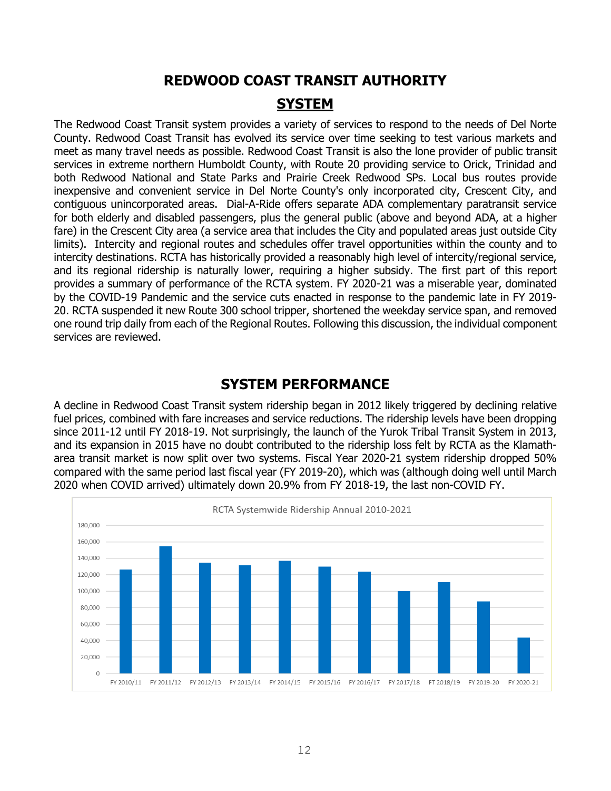## **REDWOOD COAST TRANSIT AUTHORITY SYSTEM**

The Redwood Coast Transit system provides a variety of services to respond to the needs of Del Norte County. Redwood Coast Transit has evolved its service over time seeking to test various markets and meet as many travel needs as possible. Redwood Coast Transit is also the lone provider of public transit services in extreme northern Humboldt County, with Route 20 providing service to Orick, Trinidad and both Redwood National and State Parks and Prairie Creek Redwood SPs. Local bus routes provide inexpensive and convenient service in Del Norte County's only incorporated city, Crescent City, and contiguous unincorporated areas. Dial-A-Ride offers separate ADA complementary paratransit service for both elderly and disabled passengers, plus the general public (above and beyond ADA, at a higher fare) in the Crescent City area (a service area that includes the City and populated areas just outside City limits). Intercity and regional routes and schedules offer travel opportunities within the county and to intercity destinations. RCTA has historically provided a reasonably high level of intercity/regional service, and its regional ridership is naturally lower, requiring a higher subsidy. The first part of this report provides a summary of performance of the RCTA system. FY 2020-21 was a miserable year, dominated by the COVID-19 Pandemic and the service cuts enacted in response to the pandemic late in FY 2019- 20. RCTA suspended it new Route 300 school tripper, shortened the weekday service span, and removed one round trip daily from each of the Regional Routes. Following this discussion, the individual component services are reviewed.

## **SYSTEM PERFORMANCE**

A decline in Redwood Coast Transit system ridership began in 2012 likely triggered by declining relative fuel prices, combined with fare increases and service reductions. The ridership levels have been dropping since 2011-12 until FY 2018-19. Not surprisingly, the launch of the Yurok Tribal Transit System in 2013, and its expansion in 2015 have no doubt contributed to the ridership loss felt by RCTA as the Klamatharea transit market is now split over two systems. Fiscal Year 2020-21 system ridership dropped 50% compared with the same period last fiscal year (FY 2019-20), which was (although doing well until March 2020 when COVID arrived) ultimately down 20.9% from FY 2018-19, the last non-COVID FY.

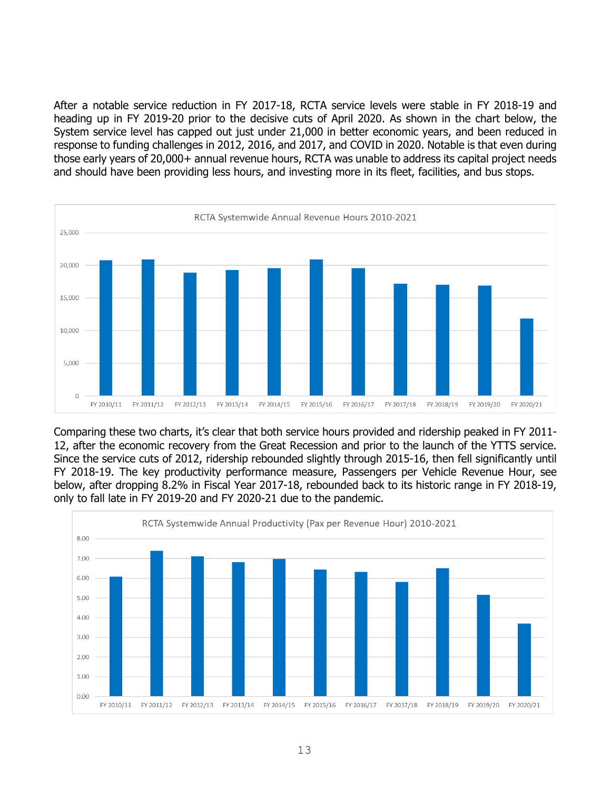After a notable service reduction in FY 2017-18, RCTA service levels were stable in FY 2018-19 and heading up in FY 2019-20 prior to the decisive cuts of April 2020. As shown in the chart below, the System service level has capped out just under 21,000 in better economic years, and been reduced in response to funding challenges in 2012, 2016, and 2017, and COVID in 2020. Notable is that even during those early years of 20,000+ annual revenue hours, RCTA was unable to address its capital project needs and should have been providing less hours, and investing more in its fleet, facilities, and bus stops.



Comparing these two charts, it's clear that both service hours provided and ridership peaked in FY 2011- 12, after the economic recovery from the Great Recession and prior to the launch of the YTTS service. Since the service cuts of 2012, ridership rebounded slightly through 2015-16, then fell significantly until FY 2018-19. The key productivity performance measure, Passengers per Vehicle Revenue Hour, see below, after dropping 8.2% in Fiscal Year 2017-18, rebounded back to its historic range in FY 2018-19, only to fall late in FY 2019-20 and FY 2020-21 due to the pandemic.

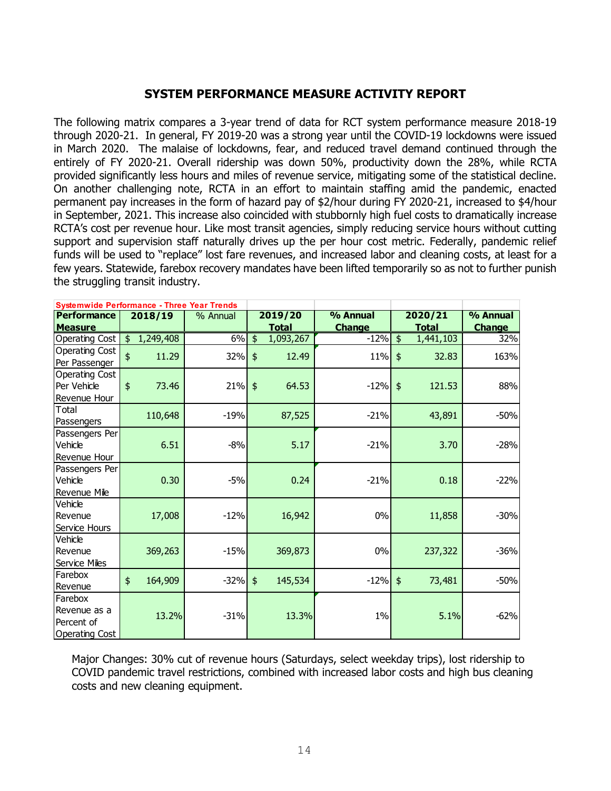### **SYSTEM PERFORMANCE MEASURE ACTIVITY REPORT**

The following matrix compares a 3-year trend of data for RCT system performance measure 2018-19 through 2020-21. In general, FY 2019-20 was a strong year until the COVID-19 lockdowns were issued in March 2020. The malaise of lockdowns, fear, and reduced travel demand continued through the entirely of FY 2020-21. Overall ridership was down 50%, productivity down the 28%, while RCTA provided significantly less hours and miles of revenue service, mitigating some of the statistical decline. On another challenging note, RCTA in an effort to maintain staffing amid the pandemic, enacted permanent pay increases in the form of hazard pay of \$2/hour during FY 2020-21, increased to \$4/hour in September, 2021. This increase also coincided with stubbornly high fuel costs to dramatically increase RCTA's cost per revenue hour. Like most transit agencies, simply reducing service hours without cutting support and supervision staff naturally drives up the per hour cost metric. Federally, pandemic relief funds will be used to "replace" lost fare revenues, and increased labor and cleaning costs, at least for a few years. Statewide, farebox recovery mandates have been lifted temporarily so as not to further punish the struggling transit industry.

| <b>Systemwide Performance - Three Year Trends</b> |                      |           |                            |               |                            |               |
|---------------------------------------------------|----------------------|-----------|----------------------------|---------------|----------------------------|---------------|
| <b>Performance</b>                                | 2018/19              | % Annual  | 2019/20                    | % Annual      | 2020/21                    | % Annual      |
| <b>Measure</b>                                    |                      |           | Total                      | <b>Change</b> | <u>Total</u>               | <b>Change</b> |
| <b>Operating Cost</b>                             | $\oint$<br>1,249,408 | 6%        | $\frac{1}{2}$<br>1,093,267 | $-12%$        | $\frac{1}{2}$<br>1,441,103 | 32%           |
| Operating Cost                                    | \$<br>11.29          | 32%       | $\frac{1}{2}$<br>12.49     | 11%           | $\frac{1}{2}$<br>32.83     | 163%          |
| Per Passenger                                     |                      |           |                            |               |                            |               |
| Operating Cost                                    |                      |           |                            |               |                            |               |
| Per Vehicle                                       | \$<br>73.46          | $21\%$ \$ | 64.53                      | $-12\%$ \$    | 121.53                     | 88%           |
| Revenue Hour                                      |                      |           |                            |               |                            |               |
| Total                                             | 110,648              | $-19%$    | 87,525                     | $-21%$        | 43,891                     | $-50%$        |
| Passengers                                        |                      |           |                            |               |                            |               |
| Passengers Per                                    |                      |           |                            |               |                            |               |
| Vehicle                                           | 6.51                 | $-8%$     | 5.17                       | $-21%$        | 3.70                       | $-28%$        |
| Revenue Hour                                      |                      |           |                            |               |                            |               |
| Passengers Per                                    |                      |           |                            |               |                            |               |
| Vehicle                                           | 0.30                 | $-5%$     | 0.24                       | $-21%$        | 0.18                       | $-22%$        |
| Revenue Mile                                      |                      |           |                            |               |                            |               |
| Vehicle                                           |                      |           |                            |               |                            |               |
| Revenue                                           | 17,008               | $-12%$    | 16,942                     | $0\%$         | 11,858                     | $-30%$        |
| Service Hours                                     |                      |           |                            |               |                            |               |
| Vehicle                                           |                      |           |                            |               |                            |               |
| Revenue                                           | 369,263              | $-15%$    | 369,873                    | 0%            | 237,322                    | $-36%$        |
| Service Miles                                     |                      |           |                            |               |                            |               |
| Farebox                                           | 164,909<br>\$        | $-32%$    | 145,534<br>$\frac{1}{2}$   | $-12%$        | $\frac{1}{2}$<br>73,481    | $-50%$        |
| Revenue                                           |                      |           |                            |               |                            |               |
| Farebox                                           |                      |           |                            |               |                            |               |
| Revenue as a                                      | 13.2%                | $-31%$    | 13.3%                      | $1\%$         | 5.1%                       | $-62%$        |
| Percent of                                        |                      |           |                            |               |                            |               |
| <b>Operating Cost</b>                             |                      |           |                            |               |                            |               |

Major Changes: 30% cut of revenue hours (Saturdays, select weekday trips), lost ridership to COVID pandemic travel restrictions, combined with increased labor costs and high bus cleaning costs and new cleaning equipment.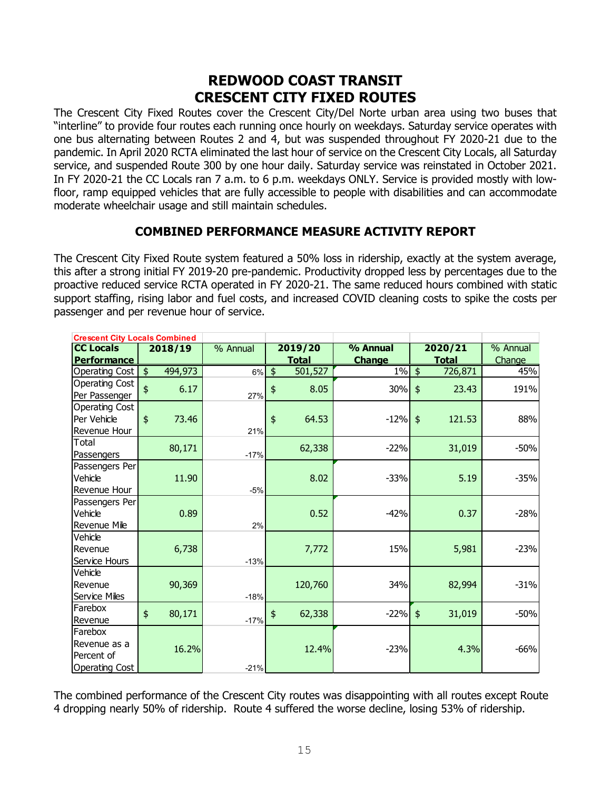### **REDWOOD COAST TRANSIT CRESCENT CITY FIXED ROUTES**

The Crescent City Fixed Routes cover the Crescent City/Del Norte urban area using two buses that "interline" to provide four routes each running once hourly on weekdays. Saturday service operates with one bus alternating between Routes 2 and 4, but was suspended throughout FY 2020-21 due to the pandemic. In April 2020 RCTA eliminated the last hour of service on the Crescent City Locals, all Saturday service, and suspended Route 300 by one hour daily. Saturday service was reinstated in October 2021. In FY 2020-21 the CC Locals ran 7 a.m. to 6 p.m. weekdays ONLY. Service is provided mostly with lowfloor, ramp equipped vehicles that are fully accessible to people with disabilities and can accommodate moderate wheelchair usage and still maintain schedules.

### **COMBINED PERFORMANCE MEASURE ACTIVITY REPORT**

The Crescent City Fixed Route system featured a 50% loss in ridership, exactly at the system average, this after a strong initial FY 2019-20 pre-pandemic. Productivity dropped less by percentages due to the proactive reduced service RCTA operated in FY 2020-21. The same reduced hours combined with static support staffing, rising labor and fuel costs, and increased COVID cleaning costs to spike the costs per passenger and per revenue hour of service.

| <b>Crescent City Locals Combined</b> |                     |         |          |               |              |               |               |              |          |
|--------------------------------------|---------------------|---------|----------|---------------|--------------|---------------|---------------|--------------|----------|
| <b>CC Locals</b>                     |                     | 2018/19 | % Annual |               | 2019/20      | % Annual      |               | 2020/21      | % Annual |
| <b>Performance</b>                   |                     |         |          |               | <b>Total</b> | <b>Change</b> |               | <b>Total</b> | Change   |
| Operating Cost                       | $\frac{1}{2}$       | 494,973 | 6%       | $\frac{1}{2}$ | 501,527      | $1\%$         | $\frac{1}{2}$ | 726,871      | 45%      |
| <b>Operating Cost</b>                | $\ddot{\bm{\zeta}}$ | 6.17    |          | \$            | 8.05         | 30%           | $\frac{1}{2}$ | 23.43        | 191%     |
| Per Passenger                        |                     |         | 27%      |               |              |               |               |              |          |
| <b>Operating Cost</b>                |                     |         |          |               |              |               |               |              |          |
| Per Vehicle                          | $\frac{1}{2}$       | 73.46   |          | $\frac{4}{5}$ | 64.53        | $-12%$        | $\frac{1}{2}$ | 121.53       | 88%      |
| Revenue Hour                         |                     |         | 21%      |               |              |               |               |              |          |
| Total                                |                     | 80,171  |          |               | 62,338       | $-22%$        |               | 31,019       | $-50%$   |
| Passengers                           |                     |         | $-17%$   |               |              |               |               |              |          |
| Passengers Per                       |                     |         |          |               |              |               |               |              |          |
| Vehicle                              |                     | 11.90   |          |               | 8.02         | $-33%$        |               | 5.19         | $-35%$   |
| <b>Revenue Hour</b>                  |                     |         | $-5%$    |               |              |               |               |              |          |
| Passengers Per                       |                     |         |          |               |              |               |               |              |          |
| Vehicle                              |                     | 0.89    |          |               | 0.52         | $-42%$        |               | 0.37         | $-28%$   |
| Revenue Mile                         |                     |         | 2%       |               |              |               |               |              |          |
| Vehicle                              |                     |         |          |               |              |               |               |              |          |
| Revenue                              |                     | 6,738   |          |               | 7,772        | 15%           |               | 5,981        | $-23%$   |
| Service Hours                        |                     |         | $-13%$   |               |              |               |               |              |          |
| Vehicle                              |                     |         |          |               |              |               |               |              |          |
| Revenue                              |                     | 90,369  |          |               | 120,760      | 34%           |               | 82,994       | $-31%$   |
| Service Miles                        |                     |         | $-18%$   |               |              |               |               |              |          |
| Farebox                              | $\frac{4}{5}$       | 80,171  |          | \$            | 62,338       | $-22%$        | $\frac{4}{5}$ | 31,019       | $-50%$   |
| Revenue                              |                     |         | $-17%$   |               |              |               |               |              |          |
| Farebox                              |                     |         |          |               |              |               |               |              |          |
| Revenue as a                         |                     | 16.2%   |          |               | 12.4%        | $-23%$        |               | 4.3%         | $-66%$   |
| lPercent of                          |                     |         |          |               |              |               |               |              |          |
| <b>Operating Cost</b>                |                     |         | $-21%$   |               |              |               |               |              |          |

The combined performance of the Crescent City routes was disappointing with all routes except Route 4 dropping nearly 50% of ridership. Route 4 suffered the worse decline, losing 53% of ridership.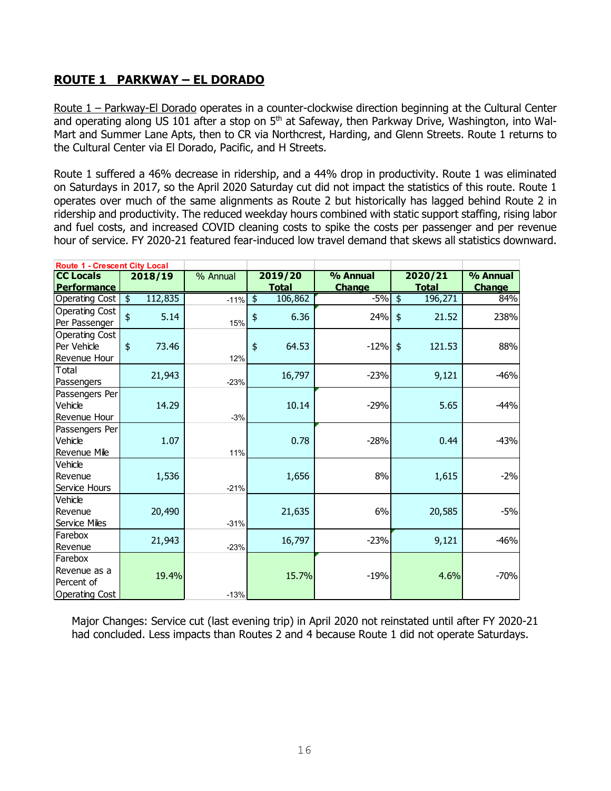### **ROUTE 1 PARKWAY – EL DORADO**

Route 1 – Parkway-El Dorado operates in a counter-clockwise direction beginning at the Cultural Center and operating along US 101 after a stop on 5<sup>th</sup> at Safeway, then Parkway Drive, Washington, into Wal-Mart and Summer Lane Apts, then to CR via Northcrest, Harding, and Glenn Streets. Route 1 returns to the Cultural Center via El Dorado, Pacific, and H Streets.

Route 1 suffered a 46% decrease in ridership, and a 44% drop in productivity. Route 1 was eliminated on Saturdays in 2017, so the April 2020 Saturday cut did not impact the statistics of this route. Route 1 operates over much of the same alignments as Route 2 but historically has lagged behind Route 2 in ridership and productivity. The reduced weekday hours combined with static support staffing, rising labor and fuel costs, and increased COVID cleaning costs to spike the costs per passenger and per revenue hour of service. FY 2020-21 featured fear-induced low travel demand that skews all statistics downward.

| <b>Route 1 - Crescent City Local</b> |                          |          |               |              |               |               |              |               |
|--------------------------------------|--------------------------|----------|---------------|--------------|---------------|---------------|--------------|---------------|
| <b>CC Locals</b>                     | 2018/19                  | % Annual |               | 2019/20      | % Annual      |               | 2020/21      | % Annual      |
| <b>Performance</b>                   |                          |          |               | <b>Total</b> | <b>Change</b> |               | <b>Total</b> | <b>Change</b> |
| Operating Cost                       | $\frac{1}{2}$<br>112,835 | $-11%$   | $\frac{1}{2}$ | 106,862      | $-5%$         | $\frac{1}{2}$ | 196,271      | 84%           |
| Operating Cost                       | $\ddot{\$}$<br>5.14      |          | \$            | 6.36         | 24%           | $\frac{1}{2}$ | 21.52        | 238%          |
| Per Passenger                        |                          | 15%      |               |              |               |               |              |               |
| Operating Cost                       |                          |          |               |              |               |               |              |               |
| Per Vehicle                          | $\frac{4}{5}$<br>73.46   |          | $\frac{1}{2}$ | 64.53        | $-12%$        | $\frac{1}{2}$ | 121.53       | 88%           |
| Revenue Hour                         |                          | 12%      |               |              |               |               |              |               |
| Total                                | 21,943                   |          |               | 16,797       | $-23%$        |               | 9,121        | $-46%$        |
| Passengers                           |                          | $-23%$   |               |              |               |               |              |               |
| Passengers Per                       |                          |          |               |              |               |               |              |               |
| Vehicle                              | 14.29                    |          |               | 10.14        | $-29%$        |               | 5.65         | $-44%$        |
| Revenue Hour                         |                          | $-3%$    |               |              |               |               |              |               |
| Passengers Per                       |                          |          |               |              |               |               |              |               |
| Vehicle                              | 1.07                     |          |               | 0.78         | $-28%$        |               | 0.44         | $-43%$        |
| Revenue Mile                         |                          | 11%      |               |              |               |               |              |               |
| Vehicle                              |                          |          |               |              |               |               |              |               |
| <b>IRevenue</b>                      | 1,536                    |          |               | 1,656        | 8%            |               | 1,615        | $-2%$         |
| Service Hours                        |                          | $-21%$   |               |              |               |               |              |               |
| Vehicle                              |                          |          |               |              |               |               |              |               |
| <b>IRevenue</b>                      | 20,490                   |          |               | 21,635       | 6%            |               | 20,585       | $-5%$         |
| Service Miles                        |                          | $-31%$   |               |              |               |               |              |               |
| Farebox                              |                          |          |               |              |               |               |              |               |
| Revenue                              | 21,943                   | $-23%$   |               | 16,797       | $-23%$        |               | 9,121        | $-46%$        |
| Farebox                              |                          |          |               |              |               |               |              |               |
| lRevenue as a                        |                          |          |               |              |               |               |              |               |
| Percent of                           | 19.4%                    |          |               | 15.7%        | $-19%$        |               | 4.6%         | $-70%$        |
| Operating Cost                       |                          | $-13%$   |               |              |               |               |              |               |

Major Changes: Service cut (last evening trip) in April 2020 not reinstated until after FY 2020-21 had concluded. Less impacts than Routes 2 and 4 because Route 1 did not operate Saturdays.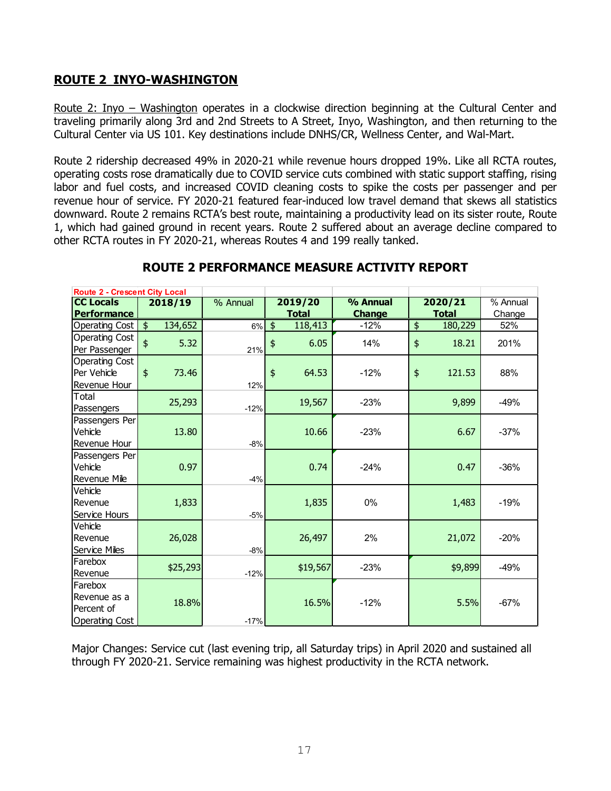### **ROUTE 2 INYO-WASHINGTON**

Route 2: Inyo – Washington operates in a clockwise direction beginning at the Cultural Center and traveling primarily along 3rd and 2nd Streets to A Street, Inyo, Washington, and then returning to the Cultural Center via US 101. Key destinations include DNHS/CR, Wellness Center, and Wal-Mart.

Route 2 ridership decreased 49% in 2020-21 while revenue hours dropped 19%. Like all RCTA routes, operating costs rose dramatically due to COVID service cuts combined with static support staffing, rising labor and fuel costs, and increased COVID cleaning costs to spike the costs per passenger and per revenue hour of service. FY 2020-21 featured fear-induced low travel demand that skews all statistics downward. Route 2 remains RCTA's best route, maintaining a productivity lead on its sister route, Route 1, which had gained ground in recent years. Route 2 suffered about an average decline compared to other RCTA routes in FY 2020-21, whereas Routes 4 and 199 really tanked.

| <b>Route 2 - Crescent City Local</b> |                     |          |          |               |              |               |               |              |          |
|--------------------------------------|---------------------|----------|----------|---------------|--------------|---------------|---------------|--------------|----------|
| <b>CC Locals</b>                     |                     | 2018/19  | % Annual |               | 2019/20      | % Annual      |               | 2020/21      | % Annual |
| <b>Performance</b>                   |                     |          |          |               | <u>Total</u> | <b>Change</b> |               | <u>Total</u> | Change   |
| Operating Cost                       | $\frac{1}{2}$       | 134,652  | 6%       | $\frac{1}{2}$ | 118,413      | $-12%$        | $\frac{1}{2}$ | 180,229      | 52%      |
| <b>Operating Cost</b>                | $\ddot{\bm{\zeta}}$ | 5.32     |          | \$            | 6.05         | 14%           | $\frac{4}{5}$ | 18.21        | 201%     |
| Per Passenger                        |                     |          | 21%      |               |              |               |               |              |          |
| <b>Operating Cost</b>                |                     |          |          |               |              |               |               |              |          |
| Per Vehicle                          | $\frac{4}{5}$       | 73.46    |          | $\frac{1}{2}$ | 64.53        | $-12%$        | $\frac{1}{2}$ | 121.53       | 88%      |
| Revenue Hour                         |                     |          | 12%      |               |              |               |               |              |          |
| Total                                |                     | 25,293   |          |               | 19,567       | $-23%$        |               | 9,899        | $-49%$   |
| Passengers                           |                     |          | $-12%$   |               |              |               |               |              |          |
| Passengers Per                       |                     |          |          |               |              |               |               |              |          |
| Vehicle                              |                     | 13.80    |          |               | 10.66        | $-23%$        |               | 6.67         | $-37%$   |
| Revenue Hour                         |                     |          | $-8%$    |               |              |               |               |              |          |
| Passengers Per                       |                     |          |          |               |              |               |               |              |          |
| Vehicle                              |                     | 0.97     |          |               | 0.74         | $-24%$        |               | 0.47         | $-36%$   |
| Revenue Mile                         |                     |          | $-4%$    |               |              |               |               |              |          |
| Vehicle                              |                     |          |          |               |              |               |               |              |          |
| Revenue                              |                     | 1,833    |          |               | 1,835        | 0%            |               | 1,483        | $-19%$   |
| Service Hours                        |                     |          | $-5%$    |               |              |               |               |              |          |
| Vehicle                              |                     |          |          |               |              |               |               |              |          |
| Revenue                              |                     | 26,028   |          |               | 26,497       | 2%            |               | 21,072       | $-20%$   |
| <b>Service Miles</b>                 |                     |          | $-8%$    |               |              |               |               |              |          |
| Farebox                              |                     | \$25,293 |          |               | \$19,567     | $-23%$        |               | \$9,899      | $-49%$   |
| Revenue                              |                     |          | $-12%$   |               |              |               |               |              |          |
| Farebox                              |                     |          |          |               |              |               |               |              |          |
| Revenue as a                         |                     | 18.8%    |          |               | 16.5%        | $-12%$        |               | 5.5%         | $-67%$   |
| Percent of                           |                     |          |          |               |              |               |               |              |          |
| <b>Operating Cost</b>                |                     |          | $-17%$   |               |              |               |               |              |          |

### **ROUTE 2 PERFORMANCE MEASURE ACTIVITY REPORT**

Major Changes: Service cut (last evening trip, all Saturday trips) in April 2020 and sustained all through FY 2020-21. Service remaining was highest productivity in the RCTA network.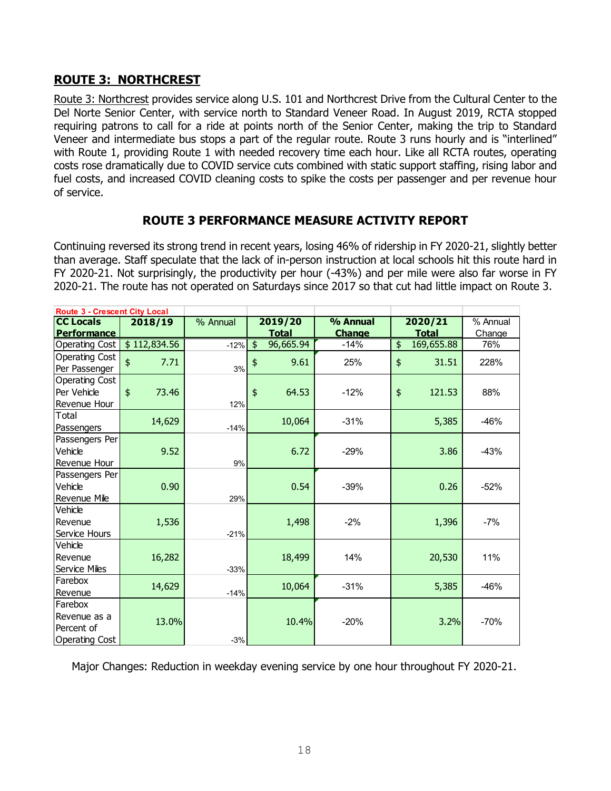### **ROUTE 3: NORTHCREST**

Route 3: Northcrest provides service along U.S. 101 and Northcrest Drive from the Cultural Center to the Del Norte Senior Center, with service north to Standard Veneer Road. In August 2019, RCTA stopped requiring patrons to call for a ride at points north of the Senior Center, making the trip to Standard Veneer and intermediate bus stops a part of the regular route. Route 3 runs hourly and is "interlined" with Route 1, providing Route 1 with needed recovery time each hour. Like all RCTA routes, operating costs rose dramatically due to COVID service cuts combined with static support staffing, rising labor and fuel costs, and increased COVID cleaning costs to spike the costs per passenger and per revenue hour of service.

### **ROUTE 3 PERFORMANCE MEASURE ACTIVITY REPORT**

Continuing reversed its strong trend in recent years, losing 46% of ridership in FY 2020-21, slightly better than average. Staff speculate that the lack of in-person instruction at local schools hit this route hard in FY 2020-21. Not surprisingly, the productivity per hour (-43%) and per mile were also far worse in FY 2020-21. The route has not operated on Saturdays since 2017 so that cut had little impact on Route 3.

| <b>Route 3 - Crescent City Local</b> |                        |          |               |              |               |                  |          |
|--------------------------------------|------------------------|----------|---------------|--------------|---------------|------------------|----------|
| <b>CC Locals</b>                     | 2018/19                | % Annual |               | 2019/20      | % Annual      | 2020/21          | % Annual |
| <b>Performance</b>                   |                        |          |               | <b>Total</b> | <b>Change</b> | <b>Total</b>     | Change   |
| Operating Cost                       | \$112,834.56           | $-12%$   | $\frac{4}{5}$ | 96,665.94    | $-14%$        | \$<br>169,655.88 | 76%      |
| Operating Cost                       | \$<br>7.71             |          |               | 9.61         | 25%           | \$<br>31.51      | 228%     |
| Per Passenger                        |                        | 3%       | \$            |              |               |                  |          |
| Operating Cost                       |                        |          |               |              |               |                  |          |
| Per Vehicle                          | $\frac{1}{2}$<br>73.46 |          | \$            | 64.53        | $-12%$        | \$<br>121.53     | 88%      |
| Revenue Hour                         |                        | 12%      |               |              |               |                  |          |
| Total                                | 14,629                 |          |               | 10,064       | $-31%$        | 5,385            | $-46%$   |
| Passengers                           |                        | $-14%$   |               |              |               |                  |          |
| Passengers Per                       |                        |          |               |              |               |                  |          |
| Vehicle                              | 9.52                   |          |               | 6.72         | $-29%$        | 3.86             | $-43%$   |
| Revenue Hour                         |                        | 9%       |               |              |               |                  |          |
| Passengers Per                       |                        |          |               |              |               |                  |          |
| Vehicle                              | 0.90                   |          |               | 0.54         | $-39%$        | 0.26             | $-52%$   |
| <b>Revenue Mile</b>                  |                        | 29%      |               |              |               |                  |          |
| Vehicle                              |                        |          |               |              |               |                  |          |
| <b>IRevenue</b>                      | 1,536                  |          |               | 1,498        | $-2%$         | 1,396            | $-7%$    |
| Service Hours                        |                        | $-21%$   |               |              |               |                  |          |
| Vehicle                              |                        |          |               |              |               |                  |          |
| Revenue                              | 16,282                 |          |               | 18,499       | 14%           | 20,530           | 11%      |
| Service Miles                        |                        | $-33%$   |               |              |               |                  |          |
| <b>IFarebox</b>                      | 14,629                 |          |               | 10,064       | $-31%$        | 5,385            | $-46%$   |
| Revenue                              |                        | $-14%$   |               |              |               |                  |          |
| Farebox                              |                        |          |               |              |               |                  |          |
| lRevenue as a                        | 13.0%                  |          |               | 10.4%        | $-20%$        | 3.2%             | $-70%$   |
| Percent of                           |                        |          |               |              |               |                  |          |
| Operating Cost                       |                        | $-3%$    |               |              |               |                  |          |

Major Changes: Reduction in weekday evening service by one hour throughout FY 2020-21.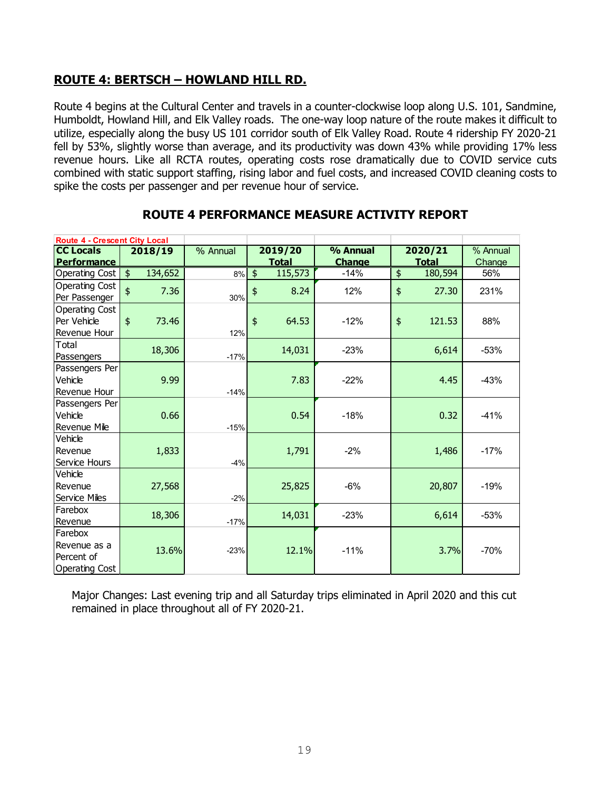### **ROUTE 4: BERTSCH – HOWLAND HILL RD.**

Route 4 begins at the Cultural Center and travels in a counter-clockwise loop along U.S. 101, Sandmine, Humboldt, Howland Hill, and Elk Valley roads. The one-way loop nature of the route makes it difficult to utilize, especially along the busy US 101 corridor south of Elk Valley Road. Route 4 ridership FY 2020-21 fell by 53%, slightly worse than average, and its productivity was down 43% while providing 17% less revenue hours. Like all RCTA routes, operating costs rose dramatically due to COVID service cuts combined with static support staffing, rising labor and fuel costs, and increased COVID cleaning costs to spike the costs per passenger and per revenue hour of service.

| <b>Route 4 - Crescent City Local</b> |                                    |                                 |                          |               |                         |          |
|--------------------------------------|------------------------------------|---------------------------------|--------------------------|---------------|-------------------------|----------|
| <b>CC Locals</b>                     | 2018/19                            | $\overline{\frac{9}{6}}$ Annual | 2019/20                  | % Annual      | 2020/21                 | % Annual |
| <b>Performance</b>                   |                                    |                                 | <b>Total</b>             | <b>Change</b> | <b>Total</b>            | Change   |
| Operating Cost                       | $\overline{\mathbf{e}}$<br>134,652 | 8%                              | $\frac{1}{2}$<br>115,573 | $-14%$        | 180,594<br>\$           | 56%      |
| Operating Cost                       | $\ddot{\bm{\zeta}}$<br>7.36        |                                 | \$<br>8.24               | 12%           | $\frac{1}{2}$<br>27.30  | 231%     |
| Per Passenger                        |                                    | 30%                             |                          |               |                         |          |
| Operating Cost                       |                                    |                                 |                          |               |                         |          |
| Per Vehicle                          | $\frac{4}{5}$<br>73.46             |                                 | $\frac{4}{5}$<br>64.53   | $-12%$        | $\frac{1}{2}$<br>121.53 | 88%      |
| Revenue Hour                         |                                    | 12%                             |                          |               |                         |          |
| Total                                | 18,306                             |                                 | 14,031                   | $-23%$        | 6,614                   | $-53%$   |
| Passengers                           |                                    | $-17%$                          |                          |               |                         |          |
| Passengers Per                       |                                    |                                 |                          |               |                         |          |
| Vehicle                              | 9.99                               |                                 | 7.83                     | $-22%$        | 4.45                    | $-43%$   |
| Revenue Hour                         |                                    | $-14%$                          |                          |               |                         |          |
| Passengers Per                       |                                    |                                 |                          |               |                         |          |
| Vehicle                              | 0.66                               |                                 | 0.54                     | $-18%$        | 0.32                    | $-41%$   |
| Revenue Mile                         |                                    | $-15%$                          |                          |               |                         |          |
| Vehicle                              |                                    |                                 |                          |               |                         |          |
| <b>IRevenue</b>                      | 1,833                              |                                 | 1,791                    | $-2%$         | 1,486                   | $-17%$   |
| Service Hours                        |                                    | $-4%$                           |                          |               |                         |          |
| Vehicle                              |                                    |                                 |                          |               |                         |          |
| <b>IRevenue</b>                      | 27,568                             |                                 | 25,825                   | $-6%$         | 20,807                  | $-19%$   |
| <b>Service Miles</b>                 |                                    | $-2%$                           |                          |               |                         |          |
| <b>IFarebox</b>                      | 18,306                             |                                 | 14,031                   | $-23%$        | 6,614                   | $-53%$   |
| Revenue                              |                                    | $-17%$                          |                          |               |                         |          |
| Farebox                              |                                    |                                 |                          |               |                         |          |
| lRevenue as a                        | 13.6%                              | $-23%$                          | 12.1%                    | $-11%$        | 3.7%                    | $-70%$   |
| Percent of                           |                                    |                                 |                          |               |                         |          |
| Operating Cost                       |                                    |                                 |                          |               |                         |          |

### **ROUTE 4 PERFORMANCE MEASURE ACTIVITY REPORT**

Major Changes: Last evening trip and all Saturday trips eliminated in April 2020 and this cut remained in place throughout all of FY 2020-21.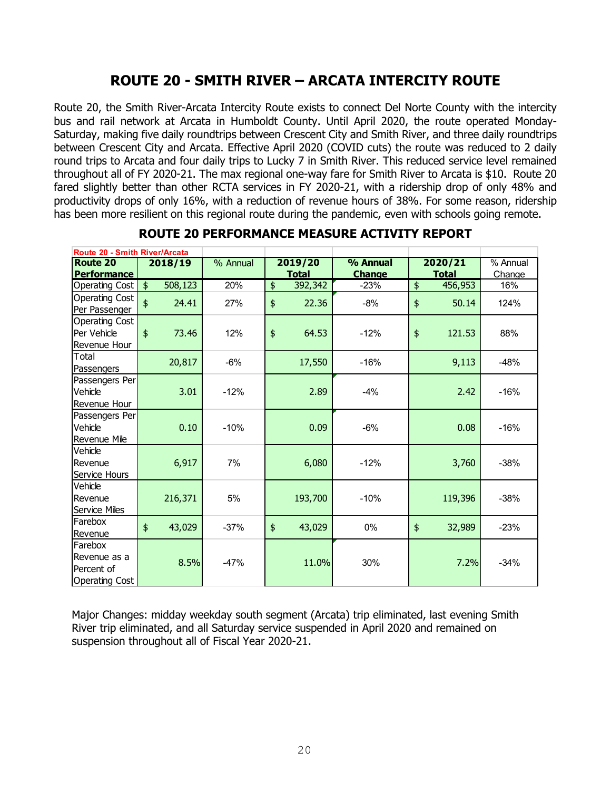## **ROUTE 20 - SMITH RIVER – ARCATA INTERCITY ROUTE**

Route 20, the Smith River-Arcata Intercity Route exists to connect Del Norte County with the intercity bus and rail network at Arcata in Humboldt County. Until April 2020, the route operated Monday-Saturday, making five daily roundtrips between Crescent City and Smith River, and three daily roundtrips between Crescent City and Arcata. Effective April 2020 (COVID cuts) the route was reduced to 2 daily round trips to Arcata and four daily trips to Lucky 7 in Smith River. This reduced service level remained throughout all of FY 2020-21. The max regional one-way fare for Smith River to Arcata is \$10. Route 20 fared slightly better than other RCTA services in FY 2020-21, with a ridership drop of only 48% and productivity drops of only 16%, with a reduction of revenue hours of 38%. For some reason, ridership has been more resilient on this regional route during the pandemic, even with schools going remote.

| Route 20 - Smith River/Arcata |                                    |          |               |               |                         |          |
|-------------------------------|------------------------------------|----------|---------------|---------------|-------------------------|----------|
| <b>Route 20</b>               | 2018/19                            | % Annual | 2019/20       | % Annual      | 2020/21                 | % Annual |
| <b>Performance</b>            |                                    |          | <b>Total</b>  | <b>Change</b> | <b>Total</b>            | Change   |
| Operating Cost                | $\overline{\mathbf{r}}$<br>508,123 | 20%      | 392,342<br>\$ | $-23%$        | \$<br>456,953           | 16%      |
| Operating Cost                | \$<br>24.41                        | 27%      | \$<br>22.36   | $-8%$         | \$<br>50.14             | 124%     |
| Per Passenger                 |                                    |          |               |               |                         |          |
| Operating Cost                |                                    |          |               |               |                         |          |
| Per Vehicle                   | $\frac{4}{5}$<br>73.46             | 12%      | \$<br>64.53   | $-12%$        | $\frac{1}{2}$<br>121.53 | 88%      |
| Revenue Hour                  |                                    |          |               |               |                         |          |
| Total                         | 20,817                             | $-6%$    | 17,550        | $-16%$        | 9,113                   | $-48%$   |
| Passengers                    |                                    |          |               |               |                         |          |
| Passengers Per                |                                    |          |               |               |                         |          |
| Vehicle                       | 3.01                               | $-12%$   | 2.89          | $-4%$         | 2.42                    | $-16%$   |
| Revenue Hour                  |                                    |          |               |               |                         |          |
| Passengers Per                |                                    |          |               |               |                         |          |
| Vehicle                       | 0.10                               | $-10%$   | 0.09          | $-6%$         | 0.08                    | $-16%$   |
| Revenue Mile                  |                                    |          |               |               |                         |          |
| Vehicle                       |                                    |          |               |               |                         |          |
| Revenue                       | 6,917                              | 7%       | 6,080         | $-12%$        | 3,760                   | $-38%$   |
| Service Hours                 |                                    |          |               |               |                         |          |
| Vehicle                       |                                    |          |               |               |                         |          |
| Revenue                       | 216,371                            | 5%       | 193,700       | $-10%$        | 119,396                 | $-38%$   |
| Service Miles                 |                                    |          |               |               |                         |          |
| Farebox                       | \$<br>43,029                       | $-37%$   | \$<br>43,029  | 0%            | \$<br>32,989            | $-23%$   |
| Revenue                       |                                    |          |               |               |                         |          |
| Farebox                       |                                    |          |               |               |                         |          |
| Revenue as a                  | 8.5%                               | $-47%$   | 11.0%         | 30%           | 7.2%                    | $-34%$   |
| Percent of                    |                                    |          |               |               |                         |          |
| <b>Operating Cost</b>         |                                    |          |               |               |                         |          |

### **ROUTE 20 PERFORMANCE MEASURE ACTIVITY REPORT**

Major Changes: midday weekday south segment (Arcata) trip eliminated, last evening Smith River trip eliminated, and all Saturday service suspended in April 2020 and remained on suspension throughout all of Fiscal Year 2020-21.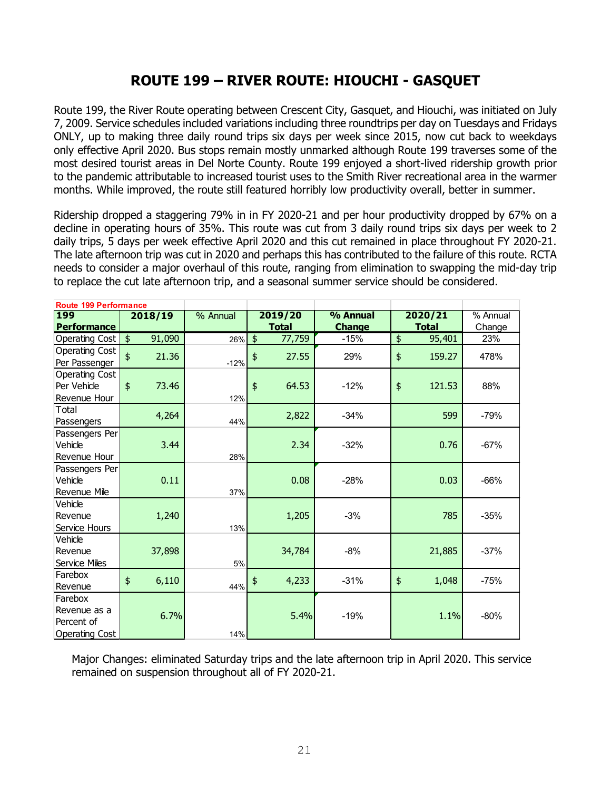## **ROUTE 199 – RIVER ROUTE: HIOUCHI - GASQUET**

Route 199, the River Route operating between Crescent City, Gasquet, and Hiouchi, was initiated on July 7, 2009. Service schedules included variations including three roundtrips per day on Tuesdays and Fridays ONLY, up to making three daily round trips six days per week since 2015, now cut back to weekdays only effective April 2020. Bus stops remain mostly unmarked although Route 199 traverses some of the most desired tourist areas in Del Norte County. Route 199 enjoyed a short-lived ridership growth prior to the pandemic attributable to increased tourist uses to the Smith River recreational area in the warmer months. While improved, the route still featured horribly low productivity overall, better in summer.

Ridership dropped a staggering 79% in in FY 2020-21 and per hour productivity dropped by 67% on a decline in operating hours of 35%. This route was cut from 3 daily round trips six days per week to 2 daily trips, 5 days per week effective April 2020 and this cut remained in place throughout FY 2020-21. The late afternoon trip was cut in 2020 and perhaps this has contributed to the failure of this route. RCTA needs to consider a major overhaul of this route, ranging from elimination to swapping the mid-day trip to replace the cut late afternoon trip, and a seasonal summer service should be considered.

| <b>Route 199 Performance</b> |                         |                        |                         |               |                         |          |
|------------------------------|-------------------------|------------------------|-------------------------|---------------|-------------------------|----------|
| <b>199</b>                   | 2018/19                 | $\overline{\%}$ Annual | 2019/20                 | % Annual      | 2020/21                 | % Annual |
| <b>Performance</b>           |                         |                        | <b>Total</b>            | <b>Change</b> | <b>Total</b>            | Change   |
| Operating Cost               | $\frac{1}{2}$<br>91,090 | 26%                    | $\frac{1}{2}$<br>77,759 | $-15%$        | \$<br>95,401            | 23%      |
| Operating Cost               | \$<br>21.36             |                        | 27.55<br>\$             | 29%           | $\frac{1}{2}$<br>159.27 | 478%     |
| Per Passenger                |                         | $-12%$                 |                         |               |                         |          |
| Operating Cost               |                         |                        |                         |               |                         |          |
| Per Vehicle                  | $\frac{1}{2}$<br>73.46  |                        | $\frac{1}{2}$<br>64.53  | $-12%$        | $\frac{1}{2}$<br>121.53 | 88%      |
| Revenue Hour                 |                         | 12%                    |                         |               |                         |          |
| Total                        | 4,264                   |                        | 2,822                   | $-34%$        | 599                     | $-79%$   |
| Passengers                   |                         | 44%                    |                         |               |                         |          |
| Passengers Per               |                         |                        |                         |               |                         |          |
| Vehicle                      | 3.44                    |                        | 2.34                    | $-32%$        | 0.76                    | $-67%$   |
| Revenue Hour                 |                         | 28%                    |                         |               |                         |          |
| Passengers Per               |                         |                        |                         |               |                         |          |
| Vehicle                      | 0.11                    |                        | 0.08                    | $-28%$        | 0.03                    | -66%     |
| Revenue Mile                 |                         | 37%                    |                         |               |                         |          |
| Vehicle                      |                         |                        |                         |               |                         |          |
| Revenue                      | 1,240                   |                        | 1,205                   | $-3%$         | 785                     | $-35%$   |
| Service Hours                |                         | 13%                    |                         |               |                         |          |
| Vehicle                      |                         |                        |                         |               |                         |          |
| Revenue                      | 37,898                  |                        | 34,784                  | $-8%$         | 21,885                  | $-37%$   |
| Service Miles                |                         | 5%                     |                         |               |                         |          |
| Farebox                      | \$<br>6,110             |                        | 4,233<br>\$             | $-31%$        | $\frac{1}{2}$<br>1,048  | $-75%$   |
| Revenue                      |                         | 44%                    |                         |               |                         |          |
| Farebox                      |                         |                        |                         |               |                         |          |
| Revenue as a                 | 6.7%                    |                        | 5.4%                    | $-19%$        | 1.1%                    | $-80%$   |
| Percent of                   |                         |                        |                         |               |                         |          |
| Operating Cost               |                         | 14%                    |                         |               |                         |          |

Major Changes: eliminated Saturday trips and the late afternoon trip in April 2020. This service remained on suspension throughout all of FY 2020-21.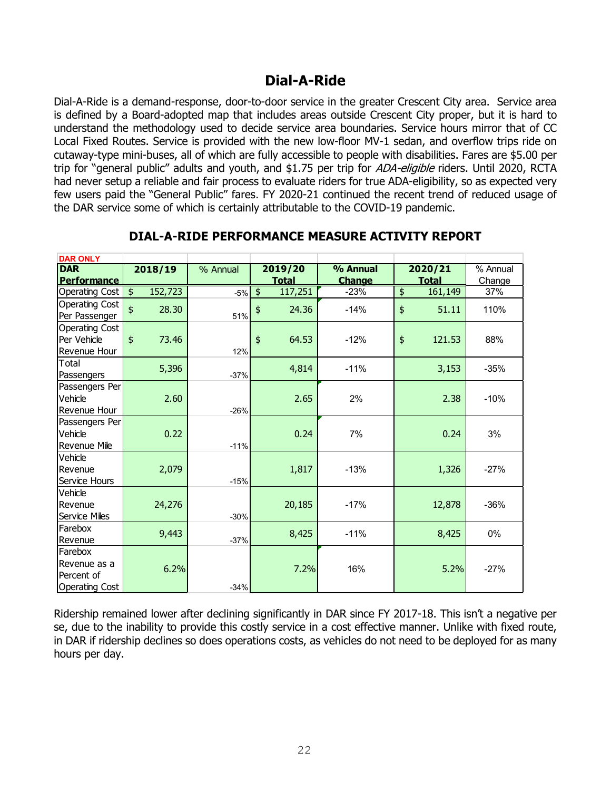## **Dial-A-Ride**

Dial-A-Ride is a demand-response, door-to-door service in the greater Crescent City area. Service area is defined by a Board-adopted map that includes areas outside Crescent City proper, but it is hard to understand the methodology used to decide service area boundaries. Service hours mirror that of CC Local Fixed Routes. Service is provided with the new low-floor MV-1 sedan, and overflow trips ride on cutaway-type mini-buses, all of which are fully accessible to people with disabilities. Fares are \$5.00 per trip for "general public" adults and youth, and \$1.75 per trip for ADA-eligible riders. Until 2020, RCTA had never setup a reliable and fair process to evaluate riders for true ADA-eligibility, so as expected very few users paid the "General Public" fares. FY 2020-21 continued the recent trend of reduced usage of the DAR service some of which is certainly attributable to the COVID-19 pandemic.

| <b>DAR ONLY</b>       |                          |          |                          |               |                         |          |
|-----------------------|--------------------------|----------|--------------------------|---------------|-------------------------|----------|
| <b>DAR</b>            | 2018/19                  | % Annual | 2019/20                  | % Annual      | 2020/21                 | % Annual |
| <b>Performance</b>    |                          |          | <b>Total</b>             | <b>Change</b> | <b>Total</b>            | Change   |
| Operating Cost        | 152,723<br>$\frac{1}{2}$ | $-5%$    | 117,251<br>$\frac{1}{2}$ | $-23%$        | 161,149<br>\$           | 37%      |
| Operating Cost        | \$<br>28.30              |          | 24.36                    | $-14%$        | 51.11<br>\$             | 110%     |
| Per Passenger         |                          | 51%      | \$                       |               |                         |          |
| Operating Cost        |                          |          |                          |               |                         |          |
| Per Vehicle           | $\ddagger$<br>73.46      |          | $\frac{1}{2}$<br>64.53   | $-12%$        | $\frac{1}{2}$<br>121.53 | 88%      |
| Revenue Hour          |                          | 12%      |                          |               |                         |          |
| Total                 | 5,396                    |          | 4,814                    | $-11%$        | 3,153                   | $-35%$   |
| Passengers            |                          | $-37%$   |                          |               |                         |          |
| Passengers Per        |                          |          |                          |               |                         |          |
| Vehicle               | 2.60                     |          | 2.65                     | 2%            | 2.38                    | $-10%$   |
| Revenue Hour          |                          | $-26%$   |                          |               |                         |          |
| Passengers Per        |                          |          |                          |               |                         |          |
| Vehicle               | 0.22                     |          | 0.24                     | 7%            | 0.24                    | 3%       |
| Revenue Mile          |                          | $-11%$   |                          |               |                         |          |
| Vehicle               |                          |          |                          |               |                         |          |
| Revenue               | 2,079                    |          | 1,817                    | $-13%$        | 1,326                   | $-27%$   |
| Service Hours         |                          | $-15%$   |                          |               |                         |          |
| Vehicle               |                          |          |                          |               |                         |          |
| Revenue               | 24,276                   |          | 20,185                   | $-17%$        | 12,878                  | $-36%$   |
| Service Miles         |                          | $-30%$   |                          |               |                         |          |
| Farebox               | 9,443                    |          | 8,425                    | $-11%$        | 8,425                   | 0%       |
| Revenue               |                          | $-37%$   |                          |               |                         |          |
| Farebox               |                          |          |                          |               |                         |          |
| Revenue as a          | 6.2%                     |          | 7.2%                     | 16%           | 5.2%                    | $-27%$   |
| Percent of            |                          |          |                          |               |                         |          |
| <b>Operating Cost</b> |                          | $-34%$   |                          |               |                         |          |

### **DIAL-A-RIDE PERFORMANCE MEASURE ACTIVITY REPORT**

Ridership remained lower after declining significantly in DAR since FY 2017-18. This isn't a negative per se, due to the inability to provide this costly service in a cost effective manner. Unlike with fixed route, in DAR if ridership declines so does operations costs, as vehicles do not need to be deployed for as many hours per day.